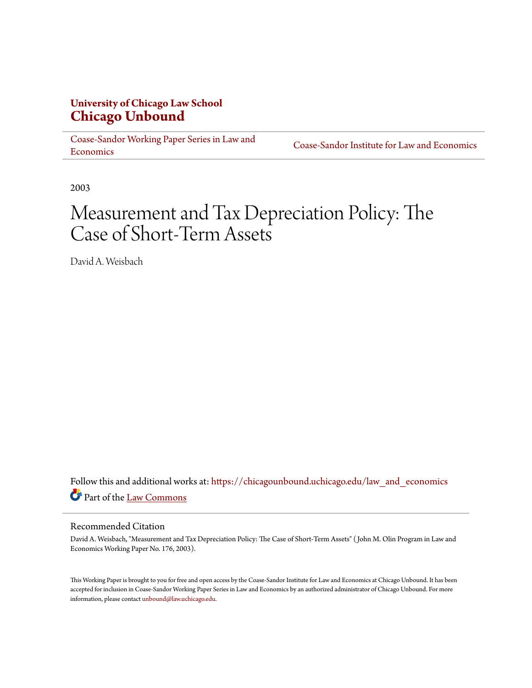# **University of Chicago Law School [Chicago Unbound](https://chicagounbound.uchicago.edu?utm_source=chicagounbound.uchicago.edu%2Flaw_and_economics%2F316&utm_medium=PDF&utm_campaign=PDFCoverPages)**

[Coase-Sandor Working Paper Series in Law and](https://chicagounbound.uchicago.edu/law_and_economics?utm_source=chicagounbound.uchicago.edu%2Flaw_and_economics%2F316&utm_medium=PDF&utm_campaign=PDFCoverPages) [Economics](https://chicagounbound.uchicago.edu/law_and_economics?utm_source=chicagounbound.uchicago.edu%2Flaw_and_economics%2F316&utm_medium=PDF&utm_campaign=PDFCoverPages)

[Coase-Sandor Institute for Law and Economics](https://chicagounbound.uchicago.edu/coase_sandor_institute?utm_source=chicagounbound.uchicago.edu%2Flaw_and_economics%2F316&utm_medium=PDF&utm_campaign=PDFCoverPages)

2003

# Measurement and Tax Depreciation Policy: The Case of Short-Term Assets

David A. Weisbach

Follow this and additional works at: [https://chicagounbound.uchicago.edu/law\\_and\\_economics](https://chicagounbound.uchicago.edu/law_and_economics?utm_source=chicagounbound.uchicago.edu%2Flaw_and_economics%2F316&utm_medium=PDF&utm_campaign=PDFCoverPages) Part of the [Law Commons](http://network.bepress.com/hgg/discipline/578?utm_source=chicagounbound.uchicago.edu%2Flaw_and_economics%2F316&utm_medium=PDF&utm_campaign=PDFCoverPages)

#### Recommended Citation

David A. Weisbach, "Measurement and Tax Depreciation Policy: The Case of Short-Term Assets" ( John M. Olin Program in Law and Economics Working Paper No. 176, 2003).

This Working Paper is brought to you for free and open access by the Coase-Sandor Institute for Law and Economics at Chicago Unbound. It has been accepted for inclusion in Coase-Sandor Working Paper Series in Law and Economics by an authorized administrator of Chicago Unbound. For more information, please contact [unbound@law.uchicago.edu.](mailto:unbound@law.uchicago.edu)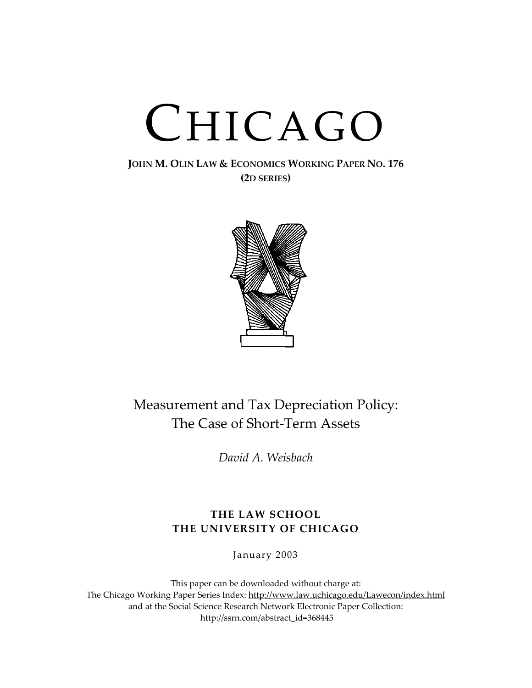# CHICAGO

# **JOHN M. OLIN LAW & ECONOMICS WORKING PAPER NO. 176 (2D SERIES)**



# Measurement and Tax Depreciation Policy: The Case of Short-Term Assets

*David A. Weisbach*

# **THE LAW SCHOOL THE UNIVERSITY OF CHICAGO**

January 2003

This paper can be downloaded without charge at: The Chicago Working Paper Series Index: [http://www.law.uchicago.edu/Lawecon/index.html](http://www.law.uchicago.edu/Publications/Working/index.html) and at the Social Science Research Network Electronic Paper Collection: [http://ssrn.com/abstract\\_id=3](http://papers.ssrn.com/sol3/search.taf)68445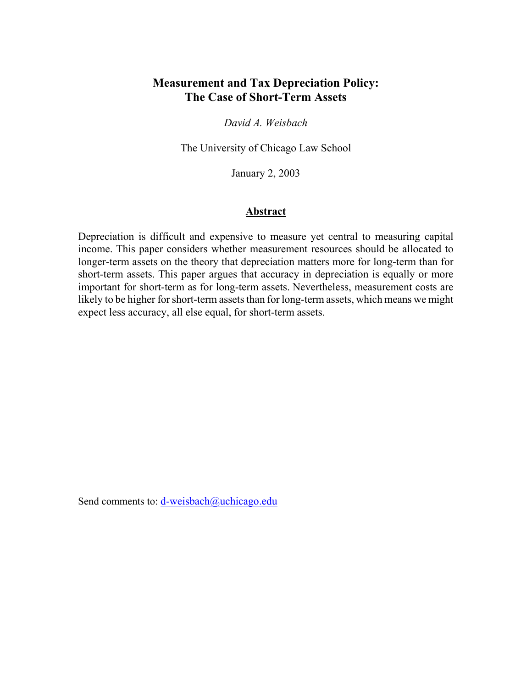# **Measurement and Tax Depreciation Policy: The Case of Short-Term Assets**

*David A. Weisbach*

The University of Chicago Law School

January 2, 2003

#### **Abstract**

Depreciation is difficult and expensive to measure yet central to measuring capital income. This paper considers whether measurement resources should be allocated to longer-term assets on the theory that depreciation matters more for long-term than for short-term assets. This paper argues that accuracy in depreciation is equally or more important for short-term as for long-term assets. Nevertheless, measurement costs are likely to be higher for short-term assets than for long-term assets, which means we might expect less accuracy, all else equal, for short-term assets.

Send comments to: [d-weisbach@uchicago.edu](mailto:d-weisbach@uchicago.edu)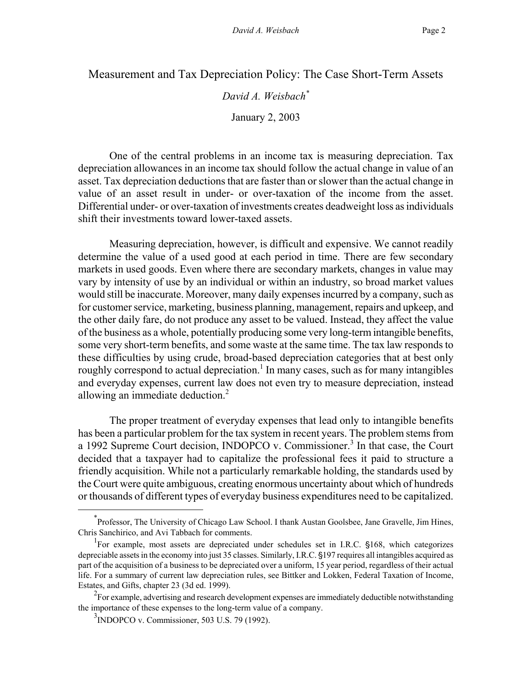Measurement and Tax Depreciation Policy: The Case Short-Term Assets

*David A. Weisbach[\\*](#page-4-0)*

January 2, 2003

One of the central problems in an income tax is measuring depreciation. Tax depreciation allowances in an income tax should follow the actual change in value of an asset. Tax depreciation deductions that are faster than or slower than the actual change in value of an asset result in under- or over-taxation of the income from the asset. Differential under- or over-taxation of investments creates deadweight loss as individuals shift their investments toward lower-taxed assets.

Measuring depreciation, however, is difficult and expensive. We cannot readily determine the value of a used good at each period in time. There are few secondary markets in used goods. Even where there are secondary markets, changes in value may vary by intensity of use by an individual or within an industry, so broad market values would still be inaccurate. Moreover, many daily expenses incurred by a company, such as for customer service, marketing, business planning, management, repairs and upkeep, and the other daily fare, do not produce any asset to be valued. Instead, they affect the value of the business as a whole, potentially producing some very long-term intangible benefits, some very short-term benefits, and some waste at the same time. The tax law responds to these difficulties by using crude, broad-based depreciation categories that at best only roughly correspond to actual depreciation.<sup>1</sup> In many cases, such as for many intangibles and everyday expenses, current law does not even try to measure depreciation, instead allowing an immediate deduction.<sup>2</sup>

The proper treatment of everyday expenses that lead only to intangible benefits has been a particular problem for the tax system in recent years. The problem stems from a 1992 Supreme Court decision, INDOPCO v. Commissioner.<sup>3</sup> In that case, the Court decided that a taxpayer had to capitalize the professional fees it paid to structure a friendly acquisition. While not a particularly remarkable holding, the standards used by the Court were quite ambiguous, creating enormous uncertainty about which of hundreds or thousands of different types of everyday business expenditures need to be capitalized.

<span id="page-4-0"></span> $\overline{\phantom{a}}$ Professor, The University of Chicago Law School. I thank Austan Goolsbee, Jane Gravelle, Jim Hines, Chris Sanchirico, and Avi Tabbach for comments.

<span id="page-4-1"></span><sup>&</sup>lt;sup>1</sup>For example, most assets are depreciated under schedules set in I.R.C. §168, which categorizes depreciable assets in the economy into just 35 classes. Similarly, I.R.C. §197 requires all intangibles acquired as part of the acquisition of a business to be depreciated over a uniform, 15 year period, regardless of their actual life. For a summary of current law depreciation rules, see Bittker and Lokken, Federal Taxation of Income, Estates, and Gifts, chapter 23 (3d ed. 1999).

<span id="page-4-2"></span> $2\epsilon$  For example, advertising and research development expenses are immediately deductible notwithstanding the importance of these expenses to the long-term value of a company.

<span id="page-4-3"></span><sup>3</sup> INDOPCO v. Commissioner, 503 U.S. 79 (1992).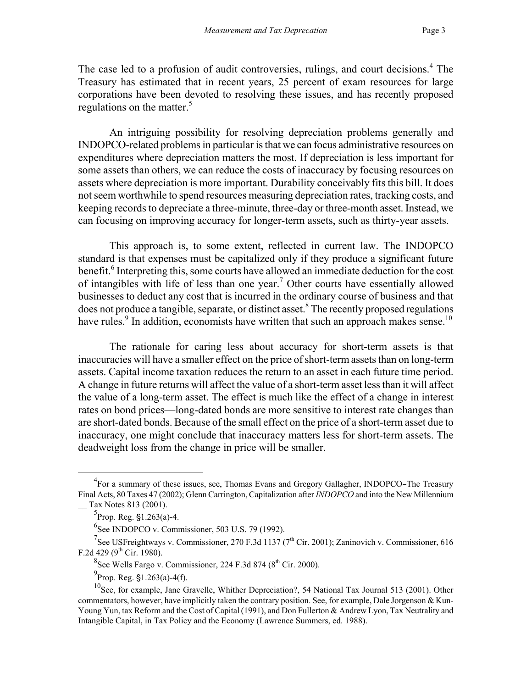The case led to a profusion of audit controversies, rulings, and court decisions.<sup>4</sup> The Treasury has estimated that in recent years, 25 percent of exam resources for large corporations have been devoted to resolving these issues, and has recently proposed regulations on the matter.<sup>5</sup>

An intriguing possibility for resolving depreciation problems generally and INDOPCO-related problems in particular is that we can focus administrative resources on expenditures where depreciation matters the most. If depreciation is less important for some assets than others, we can reduce the costs of inaccuracy by focusing resources on assets where depreciation is more important. Durability conceivably fits this bill. It does not seem worthwhile to spend resources measuring depreciation rates, tracking costs, and keeping records to depreciate a three-minute, three-day or three-month asset. Instead, we can focusing on improving accuracy for longer-term assets, such as thirty-year assets.

This approach is, to some extent, reflected in current law. The INDOPCO standard is that expenses must be capitalized only if they produce a significant future benefit.<sup>[6](#page-5-2)</sup> Interpreting this, some courts have allowed an immediate deduction for the cost of intangibles with life of less than one year.<sup>7</sup> Other courts have essentially allowed businesses to deduct any cost that is incurred in the ordinary course of business and that does not produce a tangible, separate, or distinct asset.<sup>8</sup> [T](#page-5-4)he recently proposed regulations have rules.<sup>9</sup> In addition, economists have written that such an approach makes sense.<sup>10</sup>

The rationale for caring less about accuracy for short-term assets is that inaccuracies will have a smaller effect on the price of short-term assets than on long-term assets. Capital income taxation reduces the return to an asset in each future time period. A change in future returns will affect the value of a short-term asset less than it will affect the value of a long-term asset. The effect is much like the effect of a change in interest rates on bond prices—long-dated bonds are more sensitive to interest rate changes than are short-dated bonds. Because of the small effect on the price of a short-term asset due to inaccuracy, one might conclude that inaccuracy matters less for short-term assets. The deadweight loss from the change in price will be smaller.

<span id="page-5-0"></span> $\overline{4}$  $^{4}$ For a summary of these issues, see, Thomas Evans and Gregory Gallagher, INDOPCO–The Treasury Final Acts, 80 Taxes 47 (2002); Glenn Carrington, Capitalization after *INDOPCO* and into the New Millennium \_\_ Tax Notes 813 (2001).

<span id="page-5-1"></span> ${}^{5}$ Prop. Reg. §1.263(a)-4.

<span id="page-5-3"></span><span id="page-5-2"></span><sup>6</sup> See INDOPCO v. Commissioner, 503 U.S. 79 (1992).

<sup>&</sup>lt;sup>7</sup>See USFreightways v. Commissioner, 270 F.3d 1137 (7<sup>th</sup> Cir. 2001); Zaninovich v. Commissioner, 616 F.2d 429 ( $9^{th}$  Cir. 1980).

<span id="page-5-4"></span> $8$ See Wells Fargo v. Commissioner, 224 F.3d 874 ( $8<sup>th</sup>$  Cir. 2000).

<span id="page-5-6"></span><span id="page-5-5"></span> $^{9}$ Prop. Reg. §1.263(a)-4(f).

<sup>&</sup>lt;sup>10</sup>See, for example, Jane Gravelle, Whither Depreciation?, 54 National Tax Journal 513 (2001). Other commentators, however, have implicitly taken the contrary position. See, for example, Dale Jorgenson & Kun-Young Yun, tax Reform and the Cost of Capital (1991), and Don Fullerton & Andrew Lyon, Tax Neutrality and Intangible Capital, in Tax Policy and the Economy (Lawrence Summers, ed. 1988).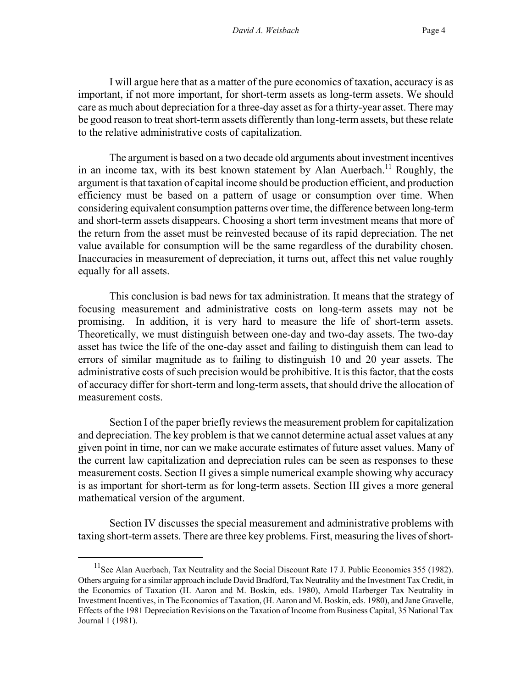I will argue here that as a matter of the pure economics of taxation, accuracy is as important, if not more important, for short-term assets as long-term assets. We should care as much about depreciation for a three-day asset as for a thirty-year asset. There may be good reason to treat short-term assets differently than long-term assets, but these relate to the relative administrative costs of capitalization.

The argument is based on a two decade old arguments about investment incentives in an income tax, with its best known statement by Alan Auerbach.<sup>11</sup> Roughly, the argument is that taxation of capital income should be production efficient, and production efficiency must be based on a pattern of usage or consumption over time. When considering equivalent consumption patterns over time, the difference between long-term and short-term assets disappears. Choosing a short term investment means that more of the return from the asset must be reinvested because of its rapid depreciation. The net value available for consumption will be the same regardless of the durability chosen. Inaccuracies in measurement of depreciation, it turns out, affect this net value roughly equally for all assets.

This conclusion is bad news for tax administration. It means that the strategy of focusing measurement and administrative costs on long-term assets may not be promising. In addition, it is very hard to measure the life of short-term assets. Theoretically, we must distinguish between one-day and two-day assets. The two-day asset has twice the life of the one-day asset and failing to distinguish them can lead to errors of similar magnitude as to failing to distinguish 10 and 20 year assets. The administrative costs of such precision would be prohibitive. It is this factor, that the costs of accuracy differ for short-term and long-term assets, that should drive the allocation of measurement costs.

Section I of the paper briefly reviews the measurement problem for capitalization and depreciation. The key problem is that we cannot determine actual asset values at any given point in time, nor can we make accurate estimates of future asset values. Many of the current law capitalization and depreciation rules can be seen as responses to these measurement costs. Section II gives a simple numerical example showing why accuracy is as important for short-term as for long-term assets. Section III gives a more general mathematical version of the argument.

Section IV discusses the special measurement and administrative problems with taxing short-term assets. There are three key problems. First, measuring the lives of short-

<span id="page-6-0"></span> $11$ See Alan Auerbach, Tax Neutrality and the Social Discount Rate 17 J. Public Economics 355 (1982). Others arguing for a similar approach include David Bradford, Tax Neutrality and the Investment Tax Credit, in the Economics of Taxation (H. Aaron and M. Boskin, eds. 1980), Arnold Harberger Tax Neutrality in Investment Incentives, in The Economics of Taxation, (H. Aaron and M. Boskin, eds. 1980), and Jane Gravelle, Effects of the 1981 Depreciation Revisions on the Taxation of Income from Business Capital, 35 National Tax Journal 1 (1981).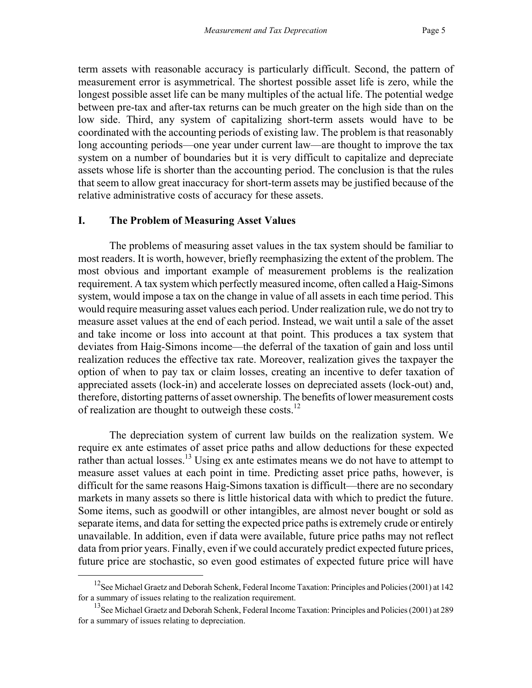term assets with reasonable accuracy is particularly difficult. Second, the pattern of measurement error is asymmetrical. The shortest possible asset life is zero, while the longest possible asset life can be many multiples of the actual life. The potential wedge between pre-tax and after-tax returns can be much greater on the high side than on the low side. Third, any system of capitalizing short-term assets would have to be coordinated with the accounting periods of existing law. The problem is that reasonably long accounting periods—one year under current law—are thought to improve the tax system on a number of boundaries but it is very difficult to capitalize and depreciate assets whose life is shorter than the accounting period. The conclusion is that the rules that seem to allow great inaccuracy for short-term assets may be justified because of the relative administrative costs of accuracy for these assets.

#### **I. The Problem of Measuring Asset Values**

The problems of measuring asset values in the tax system should be familiar to most readers. It is worth, however, briefly reemphasizing the extent of the problem. The most obvious and important example of measurement problems is the realization requirement. A tax system which perfectly measured income, often called a Haig-Simons system, would impose a tax on the change in value of all assets in each time period. This would require measuring asset values each period. Under realization rule, we do not try to measure asset values at the end of each period. Instead, we wait until a sale of the asset and take income or loss into account at that point. This produces a tax system that deviates from Haig-Simons income—the deferral of the taxation of gain and loss until realization reduces the effective tax rate. Moreover, realization gives the taxpayer the option of when to pay tax or claim losses, creating an incentive to defer taxation of appreciated assets (lock-in) and accelerate losses on depreciated assets (lock-out) and, therefore, distorting patterns of asset ownership. The benefits of lower measurement costs of realization are thought to outweigh these costs.<sup>[12](#page-7-0)</sup>

The depreciation system of current law builds on the realization system. We require ex ante estimates of asset price paths and allow deductions for these expected rather than actual losses.<sup>13</sup> Using ex ante estimates means we do not have to attempt to measure asset values at each point in time. Predicting asset price paths, however, is difficult for the same reasons Haig-Simons taxation is difficult—there are no secondary markets in many assets so there is little historical data with which to predict the future. Some items, such as goodwill or other intangibles, are almost never bought or sold as separate items, and data for setting the expected price paths is extremely crude or entirely unavailable. In addition, even if data were available, future price paths may not reflect data from prior years. Finally, even if we could accurately predict expected future prices, future price are stochastic, so even good estimates of expected future price will have

<span id="page-7-0"></span><sup>&</sup>lt;sup>12</sup>See Michael Graetz and Deborah Schenk, Federal Income Taxation: Principles and Policies (2001) at 142 for a summary of issues relating to the realization requirement.

<span id="page-7-1"></span><sup>&</sup>lt;sup>13</sup>See Michael Graetz and Deborah Schenk, Federal Income Taxation: Principles and Policies (2001) at 289 for a summary of issues relating to depreciation.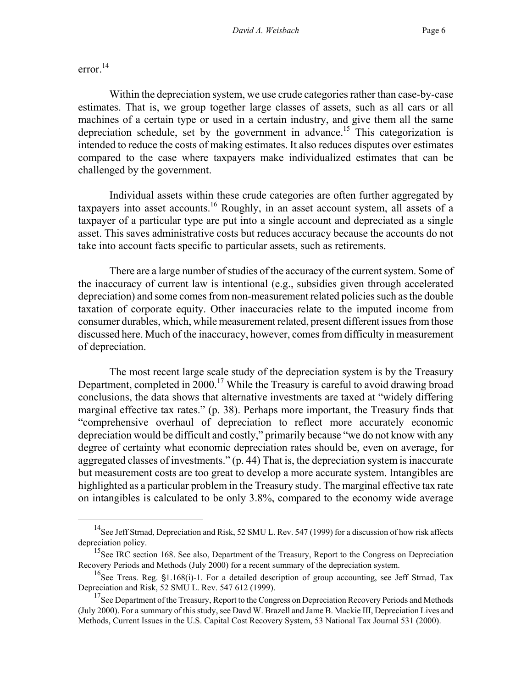error. $^{14}$  $^{14}$  $^{14}$ 

Within the depreciation system, we use crude categories rather than case-by-case estimates. That is, we group together large classes of assets, such as all cars or all machines of a certain type or used in a certain industry, and give them all the same depreciation schedule, set by the government in advance.<sup>15</sup> This categorization is intended to reduce the costs of making estimates. It also reduces disputes over estimates compared to the case where taxpayers make individualized estimates that can be challenged by the government.

Individual assets within these crude categories are often further aggregated by taxpayers into asset accounts.[16](#page-8-2) Roughly, in an asset account system, all assets of a taxpayer of a particular type are put into a single account and depreciated as a single asset. This saves administrative costs but reduces accuracy because the accounts do not take into account facts specific to particular assets, such as retirements.

There are a large number of studies of the accuracy of the current system. Some of the inaccuracy of current law is intentional (e.g., subsidies given through accelerated depreciation) and some comes from non-measurement related policies such as the double taxation of corporate equity. Other inaccuracies relate to the imputed income from consumer durables, which, while measurement related, present different issues from those discussed here. Much of the inaccuracy, however, comes from difficulty in measurement of depreciation.

The most recent large scale study of the depreciation system is by the Treasury Department, completed in  $2000$ .<sup>17</sup> While the Treasury is careful to avoid drawing broad conclusions, the data shows that alternative investments are taxed at "widely differing marginal effective tax rates." (p. 38). Perhaps more important, the Treasury finds that "comprehensive overhaul of depreciation to reflect more accurately economic depreciation would be difficult and costly," primarily because "we do not know with any degree of certainty what economic depreciation rates should be, even on average, for aggregated classes of investments." (p. 44) That is, the depreciation system is inaccurate but measurement costs are too great to develop a more accurate system. Intangibles are highlighted as a particular problem in the Treasury study. The marginal effective tax rate on intangibles is calculated to be only 3.8%, compared to the economy wide average

<span id="page-8-0"></span><sup>&</sup>lt;sup>14</sup>See Jeff Strnad, Depreciation and Risk, 52 SMU L. Rev. 547 (1999) for a discussion of how risk affects depreciation policy.

<span id="page-8-1"></span><sup>&</sup>lt;sup>15</sup>See IRC section 168. See also, Department of the Treasury, Report to the Congress on Depreciation Recovery Periods and Methods (July 2000) for a recent summary of the depreciation system.

<span id="page-8-2"></span><sup>&</sup>lt;sup>16</sup>See Treas. Reg.  $$1.168(i)$ -1. For a detailed description of group accounting, see Jeff Strnad, Tax Depreciation and Risk, 52 SMU L. Rev. 547 612 (1999).

<span id="page-8-3"></span> $17$ See Department of the Treasury, Report to the Congress on Depreciation Recovery Periods and Methods (July 2000). For a summary of this study, see Davd W. Brazell and Jame B. Mackie III, Depreciation Lives and Methods, Current Issues in the U.S. Capital Cost Recovery System, 53 National Tax Journal 531 (2000).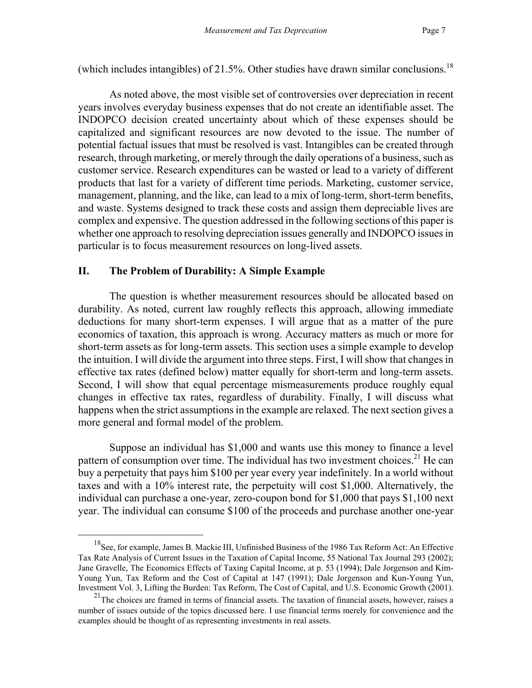(which includes intangibles) of 21.5%. Other studies have drawn similar conclusions.<sup>18</sup>

As noted above, the most visible set of controversies over depreciation in recent years involves everyday business expenses that do not create an identifiable asset. The INDOPCO decision created uncertainty about which of these expenses should be capitalized and significant resources are now devoted to the issue. The number of potential factual issues that must be resolved is vast. Intangibles can be created through research, through marketing, or merely through the daily operations of a business, such as customer service. Research expenditures can be wasted or lead to a variety of different products that last for a variety of different time periods. Marketing, customer service, management, planning, and the like, can lead to a mix of long-term, short-term benefits, and waste. Systems designed to track these costs and assign them depreciable lives are complex and expensive. The question addressed in the following sections of this paper is whether one approach to resolving depreciation issues generally and INDOPCO issues in particular is to focus measurement resources on long-lived assets.

#### **II. The Problem of Durability: A Simple Example**

The question is whether measurement resources should be allocated based on durability. As noted, current law roughly reflects this approach, allowing immediate deductions for many short-term expenses. I will argue that as a matter of the pure economics of taxation, this approach is wrong. Accuracy matters as much or more for short-term assets as for long-term assets. This section uses a simple example to develop the intuition. I will divide the argument into three steps. First, I will show that changes in effective tax rates (defined below) matter equally for short-term and long-term assets. Second, I will show that equal percentage mismeasurements produce roughly equal changes in effective tax rates, regardless of durability. Finally, I will discuss what happens when the strict assumptions in the example are relaxed. The next section gives a more general and formal model of the problem.

Suppose an individual has \$1,000 and wants use this money to finance a level pattern of consumption over time. The individual has two investment choices.<sup>21</sup> He can buy a perpetuity that pays him \$100 per year every year indefinitely. In a world without taxes and with a 10% interest rate, the perpetuity will cost \$1,000. Alternatively, the individual can purchase a one-year, zero-coupon bond for \$1,000 that pays \$1,100 next year. The individual can consume \$100 of the proceeds and purchase another one-year

<span id="page-9-0"></span> <sup>18</sup>See, for example, James B. Mackie III, Unfinished Business of the 1986 Tax Reform Act: An Effective Tax Rate Analysis of Current Issues in the Taxation of Capital Income, 55 National Tax Journal 293 (2002); Jane Gravelle, The Economics Effects of Taxing Capital Income, at p. 53 (1994); Dale Jorgenson and Kim-Young Yun, Tax Reform and the Cost of Capital at 147 (1991); Dale Jorgenson and Kun-Young Yun, Investment Vol. 3, Lifting the Burden: Tax Reform, The Cost of Capital, and U.S. Economic Growth (2001).

<span id="page-9-1"></span> $21$ The choices are framed in terms of financial assets. The taxation of financial assets, however, raises a number of issues outside of the topics discussed here. I use financial terms merely for convenience and the examples should be thought of as representing investments in real assets.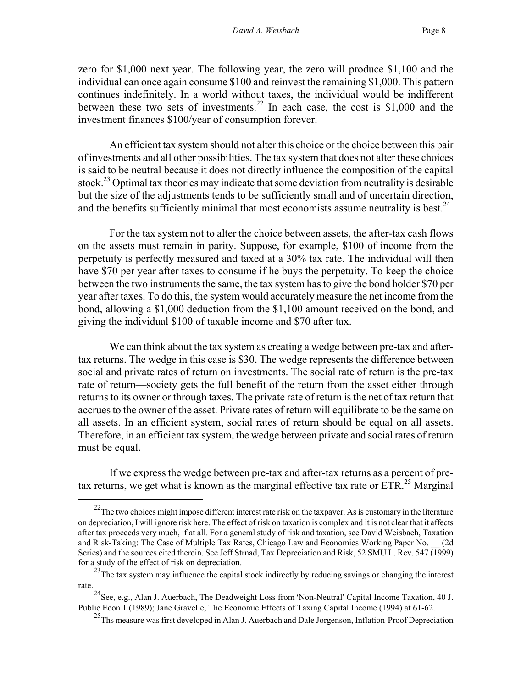<span id="page-10-3"></span>zero for \$1,000 next year. The following year, the zero will produce \$1,100 and the individual can once again consume \$100 and reinvest the remaining \$1,000. This pattern continues indefinitely. In a world without taxes, the individual would be indifferent between these two sets of investments.<sup>22</sup> In each case, the cost is \$1,000 and the investment finances \$100/year of consumption forever.

An efficient tax system should not alter this choice or the choice between this pair of investments and all other possibilities. The tax system that does not alter these choices is said to be neutral because it does not directly influence the composition of the capital stock.<sup>23</sup> Optimal tax theories may indicate that some deviation from neutrality is desirable but the size of the adjustments tends to be sufficiently small and of uncertain direction, and the benefits sufficiently minimal that most economists assume neutrality is best.<sup>24</sup>

For the tax system not to alter the choice between assets, the after-tax cash flows on the assets must remain in parity. Suppose, for example, \$100 of income from the perpetuity is perfectly measured and taxed at a 30% tax rate. The individual will then have \$70 per year after taxes to consume if he buys the perpetuity. To keep the choice between the two instruments the same, the tax system has to give the bond holder \$70 per year after taxes. To do this, the system would accurately measure the net income from the bond, allowing a \$1,000 deduction from the \$1,100 amount received on the bond, and giving the individual \$100 of taxable income and \$70 after tax.

We can think about the tax system as creating a wedge between pre-tax and aftertax returns. The wedge in this case is \$30. The wedge represents the difference between social and private rates of return on investments. The social rate of return is the pre-tax rate of return—society gets the full benefit of the return from the asset either through returns to its owner or through taxes. The private rate of return is the net of tax return that accrues to the owner of the asset. Private rates of return will equilibrate to be the same on all assets. In an efficient system, social rates of return should be equal on all assets. Therefore, in an efficient tax system, the wedge between private and social rates of return must be equal.

If we express the wedge between pre-tax and after-tax returns as a percent of pretax returns, we get what is known as the marginal effective tax rate or  $ETR<sup>25</sup>$  Marginal

<span id="page-10-0"></span> $22$ The two choices might impose different interest rate risk on the taxpayer. As is customary in the literature on depreciation, I will ignore risk here. The effect of risk on taxation is complex and it is not clear that it affects after tax proceeds very much, if at all. For a general study of risk and taxation, see David Weisbach, Taxation and Risk-Taking: The Case of Multiple Tax Rates, Chicago Law and Economics Working Paper No. \_\_ (2d Series) and the sources cited therein. See Jeff Strnad, Tax Depreciation and Risk, 52 SMU L. Rev. 547 (1999) for a study of the effect of risk on depreciation.

<span id="page-10-1"></span><sup>&</sup>lt;sup>23</sup>The tax system may influence the capital stock indirectly by reducing savings or changing the interest rate.

<span id="page-10-2"></span><sup>&</sup>lt;sup>24</sup>See, e.g., Alan J. Auerbach, The Deadweight Loss from 'Non-Neutral' Capital Income Taxation, 40 J. Public Econ 1 (1989); Jane Gravelle, The Economic Effects of Taxing Capital Income (1994) at 61-62.

<sup>&</sup>lt;sup>25</sup>Ths measure was first developed in Alan J. Auerbach and Dale Jorgenson, Inflation-Proof Depreciation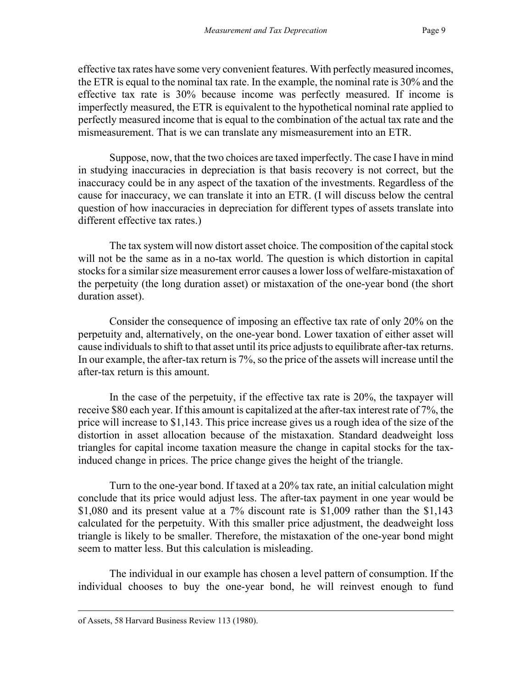effective tax rates have some very convenient features. With perfectly measured incomes, the ETR is equal to the nominal tax rate. In the example, the nominal rate is 30% and the effective tax rate is 30% because income was perfectly measured. If income is imperfectly measured, the ETR is equivalent to the hypothetical nominal rate applied to perfectly measured income that is equal to the combination of the actual tax rate and the mismeasurement. That is we can translate any mismeasurement into an ETR.

Suppose, now, that the two choices are taxed imperfectly. The case I have in mind in studying inaccuracies in depreciation is that basis recovery is not correct, but the inaccuracy could be in any aspect of the taxation of the investments. Regardless of the cause for inaccuracy, we can translate it into an ETR. (I will discuss below the central question of how inaccuracies in depreciation for different types of assets translate into different effective tax rates.)

The tax system will now distort asset choice. The composition of the capital stock will not be the same as in a no-tax world. The question is which distortion in capital stocks for a similar size measurement error causes a lower loss of welfare-mistaxation of the perpetuity (the long duration asset) or mistaxation of the one-year bond (the short duration asset).

Consider the consequence of imposing an effective tax rate of only 20% on the perpetuity and, alternatively, on the one-year bond. Lower taxation of either asset will cause individuals to shift to that asset until its price adjusts to equilibrate after-tax returns. In our example, the after-tax return is 7%, so the price of the assets will increase until the after-tax return is this amount.

In the case of the perpetuity, if the effective tax rate is 20%, the taxpayer will receive \$80 each year. If this amount is capitalized at the after-tax interest rate of 7%, the price will increase to \$1,143. This price increase gives us a rough idea of the size of the distortion in asset allocation because of the mistaxation. Standard deadweight loss triangles for capital income taxation measure the change in capital stocks for the taxinduced change in prices. The price change gives the height of the triangle.

Turn to the one-year bond. If taxed at a 20% tax rate, an initial calculation might conclude that its price would adjust less. The after-tax payment in one year would be \$1,080 and its present value at a 7% discount rate is \$1,009 rather than the \$1,143 calculated for the perpetuity. With this smaller price adjustment, the deadweight loss triangle is likely to be smaller. Therefore, the mistaxation of the one-year bond might seem to matter less. But this calculation is misleading.

The individual in our example has chosen a level pattern of consumption. If the individual chooses to buy the one-year bond, he will reinvest enough to fund

 $\overline{a}$ 

of Assets, 58 Harvard Business Review 113 (1980).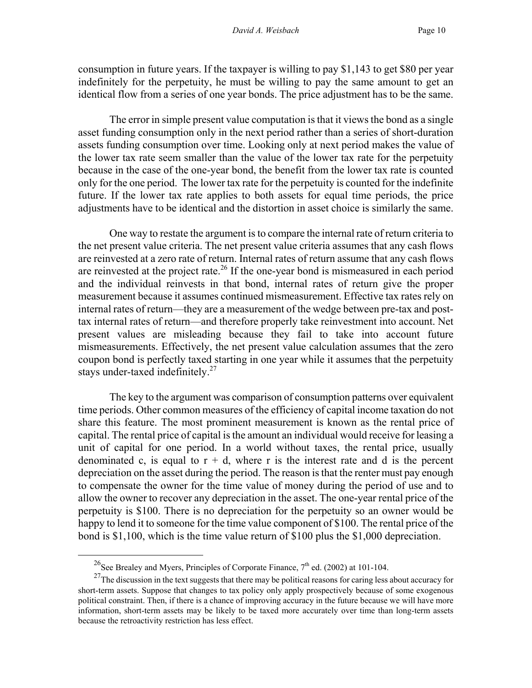consumption in future years. If the taxpayer is willing to pay \$1,143 to get \$80 per year indefinitely for the perpetuity, he must be willing to pay the same amount to get an identical flow from a series of one year bonds. The price adjustment has to be the same.

The error in simple present value computation is that it views the bond as a single asset funding consumption only in the next period rather than a series of short-duration assets funding consumption over time. Looking only at next period makes the value of the lower tax rate seem smaller than the value of the lower tax rate for the perpetuity because in the case of the one-year bond, the benefit from the lower tax rate is counted only for the one period. The lower tax rate for the perpetuity is counted for the indefinite future. If the lower tax rate applies to both assets for equal time periods, the price adjustments have to be identical and the distortion in asset choice is similarly the same.

One way to restate the argument is to compare the internal rate of return criteria to the net present value criteria. The net present value criteria assumes that any cash flows are reinvested at a zero rate of return. Internal rates of return assume that any cash flows are reinvested at the project rate.<sup>26</sup> If the one-year bond is mismeasured in each period and the individual reinvests in that bond, internal rates of return give the proper measurement because it assumes continued mismeasurement. Effective tax rates rely on internal rates of return—they are a measurement of the wedge between pre-tax and posttax internal rates of return—and therefore properly take reinvestment into account. Net present values are misleading because they fail to take into account future mismeasurements. Effectively, the net present value calculation assumes that the zero coupon bond is perfectly taxed starting in one year while it assumes that the perpetuity stays under-taxed indefinitely.<sup>27</sup>

The key to the argument was comparison of consumption patterns over equivalent time periods. Other common measures of the efficiency of capital income taxation do not share this feature. The most prominent measurement is known as the rental price of capital. The rental price of capital is the amount an individual would receive for leasing a unit of capital for one period. In a world without taxes, the rental price, usually denominated c, is equal to  $r + d$ , where r is the interest rate and d is the percent depreciation on the asset during the period. The reason is that the renter must pay enough to compensate the owner for the time value of money during the period of use and to allow the owner to recover any depreciation in the asset. The one-year rental price of the perpetuity is \$100. There is no depreciation for the perpetuity so an owner would be happy to lend it to someone for the time value component of \$100. The rental price of the bond is \$1,100, which is the time value return of \$100 plus the \$1,000 depreciation.

<span id="page-12-1"></span><span id="page-12-0"></span><sup>&</sup>lt;sup>26</sup>See Brealey and Myers, Principles of Corporate Finance,  $7<sup>th</sup>$  ed. (2002) at 101-104.

 $^{27}$ The discussion in the text suggests that there may be political reasons for caring less about accuracy for short-term assets. Suppose that changes to tax policy only apply prospectively because of some exogenous political constraint. Then, if there is a chance of improving accuracy in the future because we will have more information, short-term assets may be likely to be taxed more accurately over time than long-term assets because the retroactivity restriction has less effect.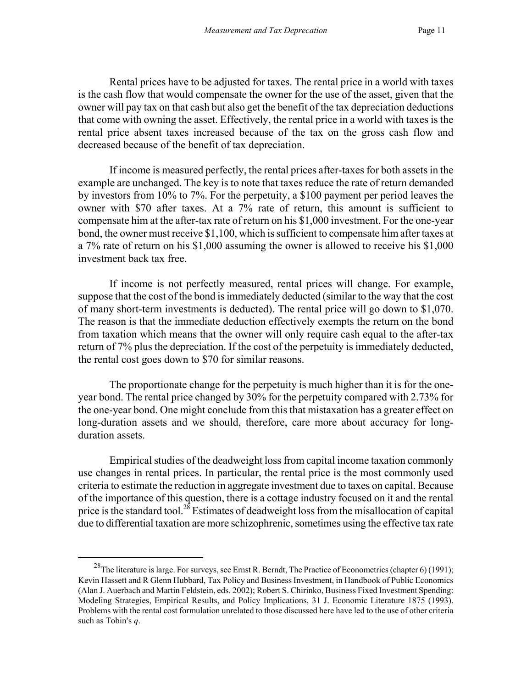Rental prices have to be adjusted for taxes. The rental price in a world with taxes is the cash flow that would compensate the owner for the use of the asset, given that the owner will pay tax on that cash but also get the benefit of the tax depreciation deductions that come with owning the asset. Effectively, the rental price in a world with taxes is the rental price absent taxes increased because of the tax on the gross cash flow and decreased because of the benefit of tax depreciation.

If income is measured perfectly, the rental prices after-taxes for both assets in the example are unchanged. The key is to note that taxes reduce the rate of return demanded by investors from 10% to 7%. For the perpetuity, a \$100 payment per period leaves the owner with \$70 after taxes. At a 7% rate of return, this amount is sufficient to compensate him at the after-tax rate of return on his \$1,000 investment. For the one-year bond, the owner must receive \$1,100, which is sufficient to compensate him after taxes at a 7% rate of return on his \$1,000 assuming the owner is allowed to receive his \$1,000 investment back tax free.

If income is not perfectly measured, rental prices will change. For example, suppose that the cost of the bond is immediately deducted (similar to the way that the cost of many short-term investments is deducted). The rental price will go down to \$1,070. The reason is that the immediate deduction effectively exempts the return on the bond from taxation which means that the owner will only require cash equal to the after-tax return of 7% plus the depreciation. If the cost of the perpetuity is immediately deducted, the rental cost goes down to \$70 for similar reasons.

The proportionate change for the perpetuity is much higher than it is for the oneyear bond. The rental price changed by 30% for the perpetuity compared with 2.73% for the one-year bond. One might conclude from this that mistaxation has a greater effect on long-duration assets and we should, therefore, care more about accuracy for longduration assets.

Empirical studies of the deadweight loss from capital income taxation commonly use changes in rental prices. In particular, the rental price is the most commonly used criteria to estimate the reduction in aggregate investment due to taxes on capital. Because of the importance of this question, there is a cottage industry focused on it and the rental price is the standard tool.<sup>28</sup> Estimates of deadweight loss from the misallocation of capital due to differential taxation are more schizophrenic, sometimes using the effective tax rate

<span id="page-13-0"></span><sup>&</sup>lt;sup>28</sup>The literature is large. For surveys, see Ernst R. Berndt, The Practice of Econometrics (chapter 6) (1991); Kevin Hassett and R Glenn Hubbard, Tax Policy and Business Investment, in Handbook of Public Economics (Alan J. Auerbach and Martin Feldstein, eds. 2002); Robert S. Chirinko, Business Fixed Investment Spending: Modeling Strategies, Empirical Results, and Policy Implications, 31 J. Economic Literature 1875 (1993). Problems with the rental cost formulation unrelated to those discussed here have led to the use of other criteria such as Tobin's *q*.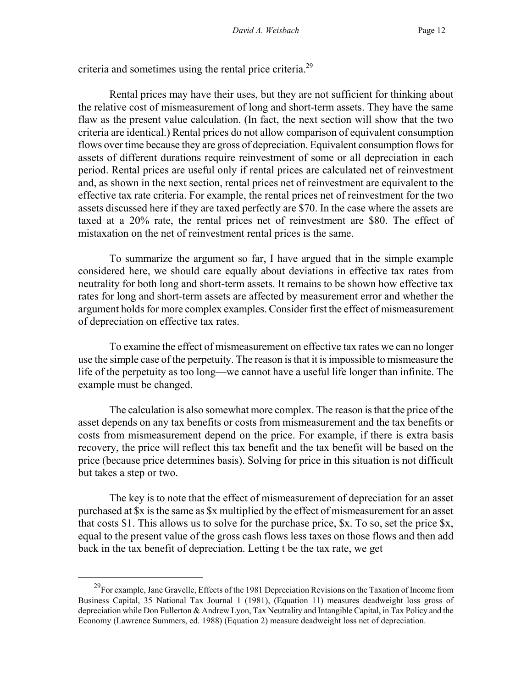criteria and sometimes using the rental price criteria.<sup>29</sup>

Rental prices may have their uses, but they are not sufficient for thinking about the relative cost of mismeasurement of long and short-term assets. They have the same flaw as the present value calculation. (In fact, the next section will show that the two criteria are identical.) Rental prices do not allow comparison of equivalent consumption flows over time because they are gross of depreciation. Equivalent consumption flows for assets of different durations require reinvestment of some or all depreciation in each period. Rental prices are useful only if rental prices are calculated net of reinvestment and, as shown in the next section, rental prices net of reinvestment are equivalent to the effective tax rate criteria. For example, the rental prices net of reinvestment for the two assets discussed here if they are taxed perfectly are \$70. In the case where the assets are taxed at a 20% rate, the rental prices net of reinvestment are \$80. The effect of mistaxation on the net of reinvestment rental prices is the same.

To summarize the argument so far, I have argued that in the simple example considered here, we should care equally about deviations in effective tax rates from neutrality for both long and short-term assets. It remains to be shown how effective tax rates for long and short-term assets are affected by measurement error and whether the argument holds for more complex examples. Consider first the effect of mismeasurement of depreciation on effective tax rates.

To examine the effect of mismeasurement on effective tax rates we can no longer use the simple case of the perpetuity. The reason is that it is impossible to mismeasure the life of the perpetuity as too long—we cannot have a useful life longer than infinite. The example must be changed.

The calculation is also somewhat more complex. The reason is that the price of the asset depends on any tax benefits or costs from mismeasurement and the tax benefits or costs from mismeasurement depend on the price. For example, if there is extra basis recovery, the price will reflect this tax benefit and the tax benefit will be based on the price (because price determines basis). Solving for price in this situation is not difficult but takes a step or two.

The key is to note that the effect of mismeasurement of depreciation for an asset purchased at \$x is the same as \$x multiplied by the effect of mismeasurement for an asset that costs \$1. This allows us to solve for the purchase price, \$x. To so, set the price \$x, equal to the present value of the gross cash flows less taxes on those flows and then add back in the tax benefit of depreciation. Letting t be the tax rate, we get

<span id="page-14-0"></span><sup>&</sup>lt;sup>29</sup>For example, Jane Gravelle, Effects of the 1981 Depreciation Revisions on the Taxation of Income from Business Capital, 35 National Tax Journal 1 (1981), (Equation 11) measures deadweight loss gross of depreciation while Don Fullerton & Andrew Lyon, Tax Neutrality and Intangible Capital, in Tax Policy and the Economy (Lawrence Summers, ed. 1988) (Equation 2) measure deadweight loss net of depreciation.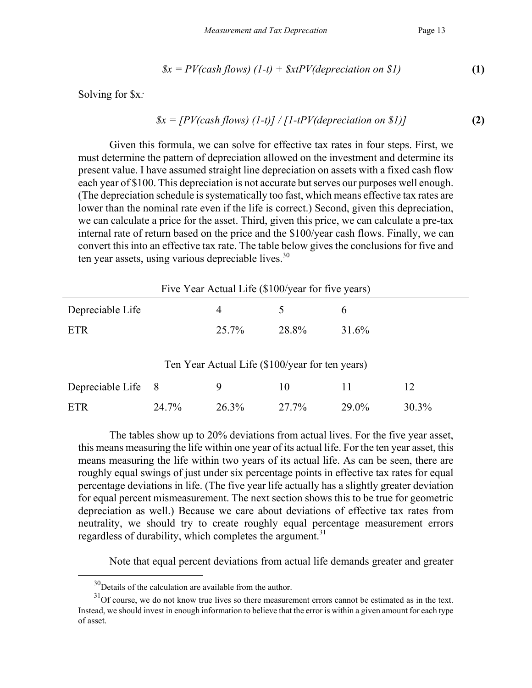$$
g_x = PV(cash flows) (1-t) + SxtPV(deprecision on $1)
$$
 (1)

Solving for \$x*:* 

$$
sx = [PV(cash flows) (1-t)] / [1-tPV(deprecision on $1)]
$$
 (2)

Given this formula, we can solve for effective tax rates in four steps. First, we must determine the pattern of depreciation allowed on the investment and determine its present value. I have assumed straight line depreciation on assets with a fixed cash flow each year of \$100. This depreciation is not accurate but serves our purposes well enough. (The depreciation schedule is systematically too fast, which means effective tax rates are lower than the nominal rate even if the life is correct.) Second, given this depreciation, we can calculate a price for the asset. Third, given this price, we can calculate a pre-tax internal rate of return based on the price and the \$100/year cash flows. Finally, we can convert this into an effective tax rate. The table below gives the conclusions for five and ten year assets, using various depreciable lives. $30$ 

| Five Year Actual Life (\$100/year for five years) |       |       |       |       |       |
|---------------------------------------------------|-------|-------|-------|-------|-------|
| Depreciable Life                                  |       | 4     |       | 6     |       |
| <b>ETR</b>                                        |       | 25.7% | 28.8% | 31.6% |       |
| Ten Year Actual Life (\$100/year for ten years)   |       |       |       |       |       |
| Depreciable Life                                  | - 8   | 9     | 10    | 11    | 12    |
| ETR                                               | 24.7% | 26.3% | 27.7% | 29.0% | 30.3% |

The tables show up to 20% deviations from actual lives. For the five year asset, this means measuring the life within one year of its actual life. For the ten year asset, this means measuring the life within two years of its actual life. As can be seen, there are roughly equal swings of just under six percentage points in effective tax rates for equal percentage deviations in life. (The five year life actually has a slightly greater deviation for equal percent mismeasurement. The next section shows this to be true for geometric depreciation as well.) Because we care about deviations of effective tax rates from neutrality, we should try to create roughly equal percentage measurement errors regardless of durability, which completes the argument.<sup>[31](#page-15-1)</sup>

Note that equal percent deviations from actual life demands greater and greater

<span id="page-15-1"></span><span id="page-15-0"></span><sup>&</sup>lt;sup>30</sup>Details of the calculation are available from the author.

 $31$ Of course, we do not know true lives so there measurement errors cannot be estimated as in the text. Instead, we should invest in enough information to believe that the error is within a given amount for each type of asset.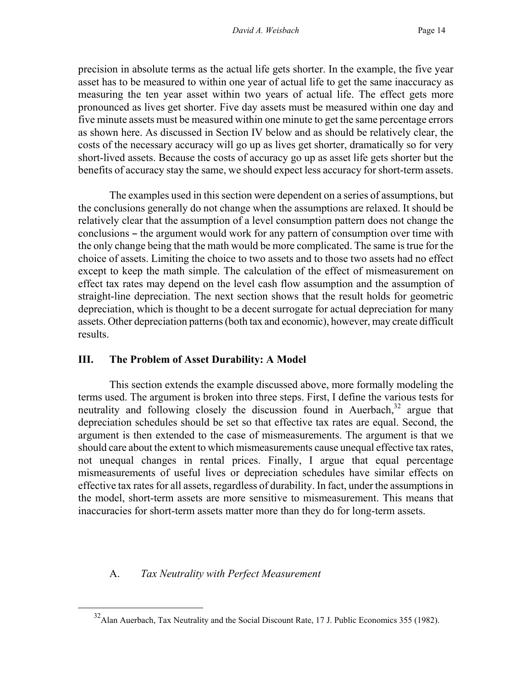precision in absolute terms as the actual life gets shorter. In the example, the five year asset has to be measured to within one year of actual life to get the same inaccuracy as measuring the ten year asset within two years of actual life. The effect gets more pronounced as lives get shorter. Five day assets must be measured within one day and five minute assets must be measured within one minute to get the same percentage errors as shown here. As discussed in Section IV below and as should be relatively clear, the costs of the necessary accuracy will go up as lives get shorter, dramatically so for very short-lived assets. Because the costs of accuracy go up as asset life gets shorter but the benefits of accuracy stay the same, we should expect less accuracy for short-term assets.

The examples used in this section were dependent on a series of assumptions, but the conclusions generally do not change when the assumptions are relaxed. It should be relatively clear that the assumption of a level consumption pattern does not change the conclusions – the argument would work for any pattern of consumption over time with the only change being that the math would be more complicated. The same is true for the choice of assets. Limiting the choice to two assets and to those two assets had no effect except to keep the math simple. The calculation of the effect of mismeasurement on effect tax rates may depend on the level cash flow assumption and the assumption of straight-line depreciation. The next section shows that the result holds for geometric depreciation, which is thought to be a decent surrogate for actual depreciation for many assets. Other depreciation patterns (both tax and economic), however, may create difficult results.

#### **III. The Problem of Asset Durability: A Model**

This section extends the example discussed above, more formally modeling the terms used. The argument is broken into three steps. First, I define the various tests for neutrality and following closely the discussion found in Auerbach, $32$  argue that depreciation schedules should be set so that effective tax rates are equal. Second, the argument is then extended to the case of mismeasurements. The argument is that we should care about the extent to which mismeasurements cause unequal effective tax rates, not unequal changes in rental prices. Finally, I argue that equal percentage mismeasurements of useful lives or depreciation schedules have similar effects on effective tax rates for all assets, regardless of durability. In fact, under the assumptions in the model, short-term assets are more sensitive to mismeasurement. This means that inaccuracies for short-term assets matter more than they do for long-term assets.

# A. *Tax Neutrality with Perfect Measurement*

<span id="page-16-0"></span><sup>&</sup>lt;sup>32</sup> Alan Auerbach, Tax Neutrality and the Social Discount Rate, 17 J. Public Economics 355 (1982).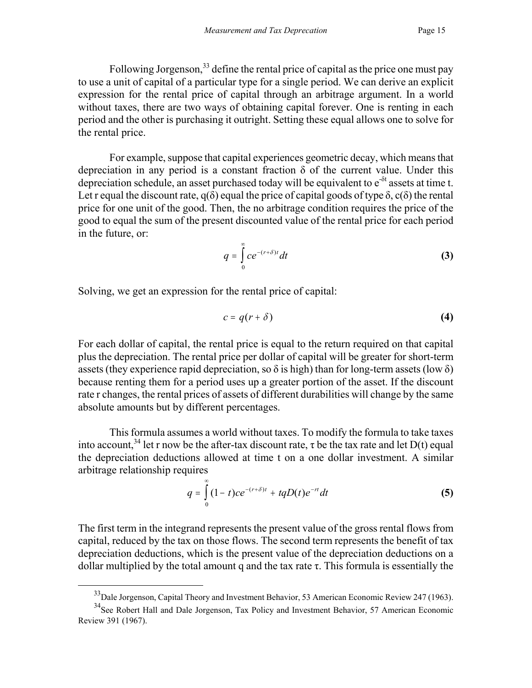Following Jorgenson,<sup>33</sup> define the rental price of capital as the price one must pay to use a unit of capital of a particular type for a single period. We can derive an explicit expression for the rental price of capital through an arbitrage argument. In a world without taxes, there are two ways of obtaining capital forever. One is renting in each period and the other is purchasing it outright. Setting these equal allows one to solve for the rental price.

For example, suppose that capital experiences geometric decay, which means that depreciation in any period is a constant fraction  $\delta$  of the current value. Under this depreciation schedule, an asset purchased today will be equivalent to  $e^{-\delta t}$  assets at time t. Let r equal the discount rate,  $q(\delta)$  equal the price of capital goods of type  $\delta$ , c( $\delta$ ) the rental price for one unit of the good. Then, the no arbitrage condition requires the price of the good to equal the sum of the present discounted value of the rental price for each period in the future, or:

$$
q = \int_{0}^{\infty} c e^{-(r+\delta)t} dt
$$
 (3)

Solving, we get an expression for the rental price of capital:

 $\overline{a}$ 

$$
c = q(r + \delta) \tag{4}
$$

For each dollar of capital, the rental price is equal to the return required on that capital plus the depreciation. The rental price per dollar of capital will be greater for short-term assets (they experience rapid depreciation, so  $\delta$  is high) than for long-term assets (low  $\delta$ ) because renting them for a period uses up a greater portion of the asset. If the discount rate r changes, the rental prices of assets of different durabilities will change by the same absolute amounts but by different percentages.

This formula assumes a world without taxes. To modify the formula to take taxes into account,<sup>34</sup> let r now be the after-tax discount rate,  $\tau$  be the tax rate and let D(t) equal the depreciation deductions allowed at time t on a one dollar investment. A similar arbitrage relationship requires

$$
q = \int_{0}^{\infty} (1-t)ce^{-(r+\delta)t} + tqD(t)e^{-rt}dt
$$
 (5)

The first term in the integrand represents the present value of the gross rental flows from capital, reduced by the tax on those flows. The second term represents the benefit of tax depreciation deductions, which is the present value of the depreciation deductions on a dollar multiplied by the total amount q and the tax rate  $\tau$ . This formula is essentially the

<span id="page-17-1"></span><span id="page-17-0"></span><sup>&</sup>lt;sup>33</sup>Dale Jorgenson, Capital Theory and Investment Behavior, 53 American Economic Review 247 (1963).

<sup>&</sup>lt;sup>34</sup>See Robert Hall and Dale Jorgenson, Tax Policy and Investment Behavior, 57 American Economic Review 391 (1967).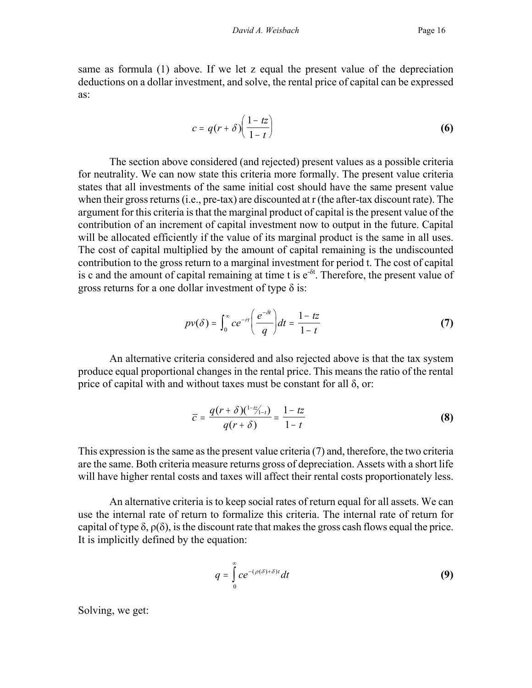same as formula (1) above. If we let z equal the present value of the depreciation deductions on a dollar investment, and solve, the rental price of capital can be expressed as:

$$
c = q(r + \delta) \left( \frac{1 - tz}{1 - t} \right) \tag{6}
$$

The section above considered (and rejected) present values as a possible criteria for neutrality. We can now state this criteria more formally. The present value criteria states that all investments of the same initial cost should have the same present value when their gross returns (i.e., pre-tax) are discounted at r (the after-tax discount rate). The argument for this criteria is that the marginal product of capital is the present value of the contribution of an increment of capital investment now to output in the future. Capital will be allocated efficiently if the value of its marginal product is the same in all uses. The cost of capital multiplied by the amount of capital remaining is the undiscounted contribution to the gross return to a marginal investment for period t. The cost of capital is c and the amount of capital remaining at time t is  $e^{-\delta t}$ . Therefore, the present value of gross returns for a one dollar investment of type  $\delta$  is:

$$
pv(\delta) = \int_0^\infty ce^{-rt} \left(\frac{e^{-\delta t}}{q}\right) dt = \frac{1-tz}{1-t}
$$
 (7)

An alternative criteria considered and also rejected above is that the tax system produce equal proportional changes in the rental price. This means the ratio of the rental price of capital with and without taxes must be constant for all  $\delta$ , or:

$$
\overline{c} = \frac{q(r+\delta)(1-t_{1-t})}{q(r+\delta)} = \frac{1-tz}{1-t}
$$
 (8)

This expression is the same as the present value criteria (7) and, therefore, the two criteria are the same. Both criteria measure returns gross of depreciation. Assets with a short life will have higher rental costs and taxes will affect their rental costs proportionately less.

An alternative criteria is to keep social rates of return equal for all assets. We can use the internal rate of return to formalize this criteria. The internal rate of return for capital of type  $\delta$ ,  $\rho(\delta)$ , is the discount rate that makes the gross cash flows equal the price. It is implicitly defined by the equation:

$$
q = \int_{0}^{\infty} c e^{-(\rho(\delta) + \delta)t} dt
$$
 (9)

Solving, we get: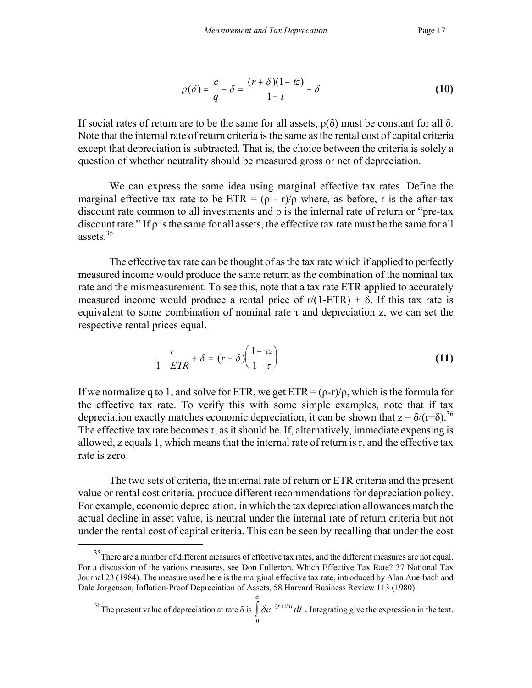$$
\rho(\delta) = \frac{c}{q} - \delta = \frac{(r+\delta)(1-tz)}{1-t} - \delta \tag{10}
$$

If social rates of return are to be the same for all assets,  $ρ(δ)$  must be constant for all δ. Note that the internal rate of return criteria is the same as the rental cost of capital criteria except that depreciation is subtracted. That is, the choice between the criteria is solely a question of whether neutrality should be measured gross or net of depreciation.

We can express the same idea using marginal effective tax rates. Define the marginal effective tax rate to be ETR =  $(\rho - r)/\rho$  where, as before, r is the after-tax discount rate common to all investments and ρ is the internal rate of return or "pre-tax discount rate." If  $\rho$  is the same for all assets, the effective tax rate must be the same for all assets.[35](#page-19-0) 

The effective tax rate can be thought of as the tax rate which if applied to perfectly measured income would produce the same return as the combination of the nominal tax rate and the mismeasurement. To see this, note that a tax rate ETR applied to accurately measured income would produce a rental price of  $r/(1-ETR) + \delta$ . If this tax rate is equivalent to some combination of nominal rate  $\tau$  and depreciation z, we can set the respective rental prices equal.

$$
\frac{r}{1 - ETR} + \delta = (r + \delta) \left( \frac{1 - \tau z}{1 - \tau} \right)
$$
 (11)

If we normalize q to 1, and solve for ETR, we get  $ETR = (p-r)/p$ , which is the formula for the effective tax rate. To verify this with some simple examples, note that if tax depreciation exactly matches economic depreciation, it can be shown that  $z = \delta/(r+\delta)$ .<sup>3[6](#page-19-1)</sup> The effective tax rate becomes  $\tau$ , as it should be. If, alternatively, immediate expensing is allowed, z equals 1, which means that the internal rate of return is r, and the effective tax rate is zero.

The two sets of criteria, the internal rate of return or ETR criteria and the present value or rental cost criteria, produce different recommendations for depreciation policy. For example, economic depreciation, in which the tax depreciation allowances match the actual decline in asset value, is neutral under the internal rate of return criteria but not under the rental cost of capital criteria. This can be seen by recalling that under the cost

 $\overline{a}$ 

∞

<span id="page-19-1"></span><span id="page-19-0"></span><sup>&</sup>lt;sup>35</sup>There are a number of different measures of effective tax rates, and the different measures are not equal. For a discussion of the various measures, see Don Fullerton, Which Effective Tax Rate? 37 National Tax Journal 23 (1984). The measure used here is the marginal effective tax rate, introduced by Alan Auerbach and Dale Jorgenson, Inflation-Proof Depreciation of Assets, 58 Harvard Business Review 113 (1980).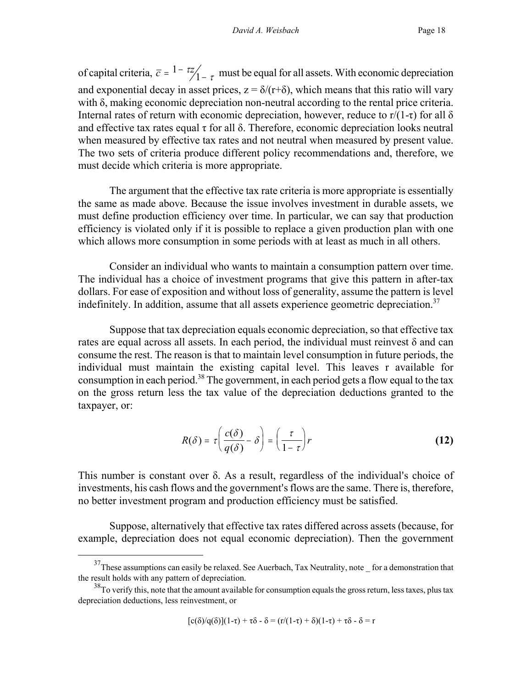of capital criteria,  $\bar{c} = \frac{1 - \tau z}{1 - \tau}$  must be equal for all assets. With economic depreciation and exponential decay in asset prices,  $z = \delta/(r+\delta)$ , which means that this ratio will vary with δ, making economic depreciation non-neutral according to the rental price criteria. Internal rates of return with economic depreciation, however, reduce to  $r/(1-\tau)$  for all  $\delta$ and effective tax rates equal  $\tau$  for all  $\delta$ . Therefore, economic depreciation looks neutral when measured by effective tax rates and not neutral when measured by present value. The two sets of criteria produce different policy recommendations and, therefore, we must decide which criteria is more appropriate.

The argument that the effective tax rate criteria is more appropriate is essentially the same as made above. Because the issue involves investment in durable assets, we must define production efficiency over time. In particular, we can say that production efficiency is violated only if it is possible to replace a given production plan with one which allows more consumption in some periods with at least as much in all others.

Consider an individual who wants to maintain a consumption pattern over time. The individual has a choice of investment programs that give this pattern in after-tax dollars. For ease of exposition and without loss of generality, assume the pattern is level indefinitely. In addition, assume that all assets experience geometric depreciation.<sup>37</sup>

Suppose that tax depreciation equals economic depreciation, so that effective tax rates are equal across all assets. In each period, the individual must reinvest δ and can consume the rest. The reason is that to maintain level consumption in future periods, the individual must maintain the existing capital level. This leaves r available for consumption in each period.<sup>38</sup> The government, in each period gets a flow equal to the tax on the gross return less the tax value of the depreciation deductions granted to the taxpayer, or:

$$
R(\delta) = \tau \left( \frac{c(\delta)}{q(\delta)} - \delta \right) = \left( \frac{\tau}{1 - \tau} \right) r
$$
 (12)

This number is constant over  $\delta$ . As a result, regardless of the individual's choice of investments, his cash flows and the government's flows are the same. There is, therefore, no better investment program and production efficiency must be satisfied.

Suppose, alternatively that effective tax rates differed across assets (because, for example, depreciation does not equal economic depreciation). Then the government

$$
[c(\delta)/q(\delta)](1-\tau)+\tau\delta-\delta=(r/(1-\tau)+\delta)(1-\tau)+\tau\delta-\delta=r
$$

<span id="page-20-0"></span> $37$ These assumptions can easily be relaxed. See Auerbach, Tax Neutrality, note for a demonstration that the result holds with any pattern of depreciation.

<span id="page-20-1"></span><sup>&</sup>lt;sup>38</sup>To verify this, note that the amount available for consumption equals the gross return, less taxes, plus tax depreciation deductions, less reinvestment, or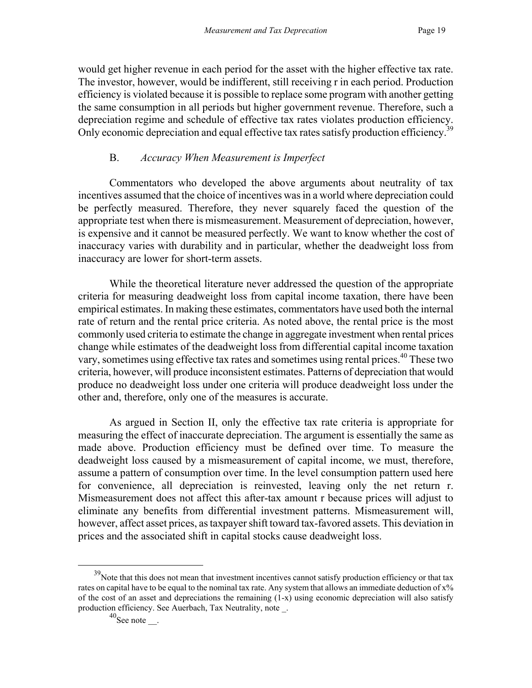would get higher revenue in each period for the asset with the higher effective tax rate. The investor, however, would be indifferent, still receiving r in each period. Production efficiency is violated because it is possible to replace some program with another getting the same consumption in all periods but higher government revenue. Therefore, such a depreciation regime and schedule of effective tax rates violates production efficiency. Only economic depreciation and equal effective tax rates satisfy production efficiency.<sup>3[9](#page-21-0)</sup>

#### B. *Accuracy When Measurement is Imperfect*

Commentators who developed the above arguments about neutrality of tax incentives assumed that the choice of incentives was in a world where depreciation could be perfectly measured. Therefore, they never squarely faced the question of the appropriate test when there is mismeasurement. Measurement of depreciation, however, is expensive and it cannot be measured perfectly. We want to know whether the cost of inaccuracy varies with durability and in particular, whether the deadweight loss from inaccuracy are lower for short-term assets.

While the theoretical literature never addressed the question of the appropriate criteria for measuring deadweight loss from capital income taxation, there have been empirical estimates. In making these estimates, commentators have used both the internal rate of return and the rental price criteria. As noted above, the rental price is the most commonly used criteria to estimate the change in aggregate investment when rental prices change while estimates of the deadweight loss from differential capital income taxation vary, sometimes using effective tax rates and sometimes using rental prices.<sup>40</sup> These two criteria, however, will produce inconsistent estimates. Patterns of depreciation that would produce no deadweight loss under one criteria will produce deadweight loss under the other and, therefore, only one of the measures is accurate.

As argued in Section II, only the effective tax rate criteria is appropriate for measuring the effect of inaccurate depreciation. The argument is essentially the same as made above. Production efficiency must be defined over time. To measure the deadweight loss caused by a mismeasurement of capital income, we must, therefore, assume a pattern of consumption over time. In the level consumption pattern used here for convenience, all depreciation is reinvested, leaving only the net return r. Mismeasurement does not affect this after-tax amount r because prices will adjust to eliminate any benefits from differential investment patterns. Mismeasurement will, however, affect asset prices, as taxpayer shift toward tax-favored assets. This deviation in prices and the associated shift in capital stocks cause deadweight loss.

<span id="page-21-0"></span><sup>&</sup>lt;sup>39</sup>Note that this does not mean that investment incentives cannot satisfy production efficiency or that tax rates on capital have to be equal to the nominal tax rate. Any system that allows an immediate deduction of x% of the cost of an asset and depreciations the remaining (1-x) using economic depreciation will also satisfy production efficiency. See Auerbach, Tax Neutrality, note \_.

<span id="page-21-1"></span> $40$ See note \_\_.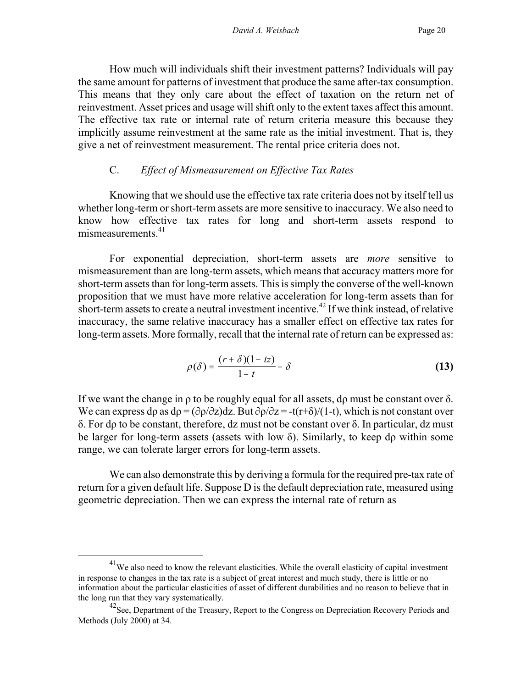How much will individuals shift their investment patterns? Individuals will pay the same amount for patterns of investment that produce the same after-tax consumption. This means that they only care about the effect of taxation on the return net of reinvestment. Asset prices and usage will shift only to the extent taxes affect this amount. The effective tax rate or internal rate of return criteria measure this because they implicitly assume reinvestment at the same rate as the initial investment. That is, they give a net of reinvestment measurement. The rental price criteria does not.

#### C. *Effect of Mismeasurement on Effective Tax Rates*

Knowing that we should use the effective tax rate criteria does not by itself tell us whether long-term or short-term assets are more sensitive to inaccuracy. We also need to know how effective tax rates for long and short-term assets respond to mismeasurements $41$ 

For exponential depreciation, short-term assets are *more* sensitive to mismeasurement than are long-term assets, which means that accuracy matters more for short-term assets than for long-term assets. This is simply the converse of the well-known proposition that we must have more relative acceleration for long-term assets than for short-term assets to create a neutral investment incentive.<sup>42</sup> If we think instead, of relative inaccuracy, the same relative inaccuracy has a smaller effect on effective tax rates for long-term assets. More formally, recall that the internal rate of return can be expressed as:

$$
\rho(\delta) = \frac{(r+\delta)(1-tz)}{1-t} - \delta \tag{13}
$$

If we want the change in  $\rho$  to be roughly equal for all assets, do must be constant over  $\delta$ . We can express do as  $d\rho = (\partial \rho/\partial z)dz$ . But  $\partial \rho/\partial z = -t(r+\delta)/(1-t)$ , which is not constant over δ. For dρ to be constant, therefore, dz must not be constant over δ. In particular, dz must be larger for long-term assets (assets with low  $\delta$ ). Similarly, to keep do within some range, we can tolerate larger errors for long-term assets.

We can also demonstrate this by deriving a formula for the required pre-tax rate of return for a given default life. Suppose D is the default depreciation rate, measured using geometric depreciation. Then we can express the internal rate of return as

<span id="page-22-0"></span><sup>&</sup>lt;sup>41</sup>We also need to know the relevant elasticities. While the overall elasticity of capital investment in response to changes in the tax rate is a subject of great interest and much study, there is little or no information about the particular elasticities of asset of different durabilities and no reason to believe that in the long run that they vary systematically.

<span id="page-22-1"></span> $^{42}$ See, Department of the Treasury, Report to the Congress on Depreciation Recovery Periods and Methods (July 2000) at 34.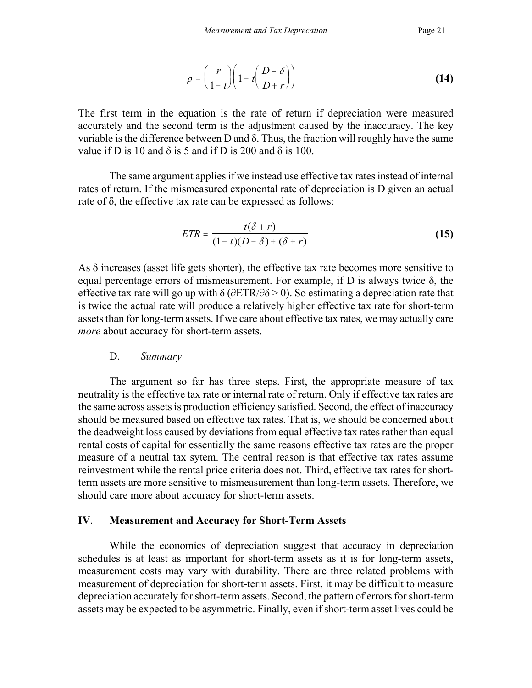$$
\rho = \left(\frac{r}{1-t}\right)\left(1-t\left(\frac{D-\delta}{D+r}\right)\right) \tag{14}
$$

The first term in the equation is the rate of return if depreciation were measured accurately and the second term is the adjustment caused by the inaccuracy. The key variable is the difference between D and  $\delta$ . Thus, the fraction will roughly have the same value if D is 10 and  $\delta$  is 5 and if D is 200 and  $\delta$  is 100.

The same argument applies if we instead use effective tax rates instead of internal rates of return. If the mismeasured exponental rate of depreciation is D given an actual rate of δ, the effective tax rate can be expressed as follows:

$$
ETR = \frac{t(\delta + r)}{(1 - t)(D - \delta) + (\delta + r)}
$$
(15)

As  $\delta$  increases (asset life gets shorter), the effective tax rate becomes more sensitive to equal percentage errors of mismeasurement. For example, if D is always twice δ, the effective tax rate will go up with  $\delta$  ( $\partial ETR/\partial \delta$  > 0). So estimating a depreciation rate that is twice the actual rate will produce a relatively higher effective tax rate for short-term assets than for long-term assets. If we care about effective tax rates, we may actually care *more* about accuracy for short-term assets.

#### D. *Summary*

The argument so far has three steps. First, the appropriate measure of tax neutrality is the effective tax rate or internal rate of return. Only if effective tax rates are the same across assets is production efficiency satisfied. Second, the effect of inaccuracy should be measured based on effective tax rates. That is, we should be concerned about the deadweight loss caused by deviations from equal effective tax rates rather than equal rental costs of capital for essentially the same reasons effective tax rates are the proper measure of a neutral tax sytem. The central reason is that effective tax rates assume reinvestment while the rental price criteria does not. Third, effective tax rates for shortterm assets are more sensitive to mismeasurement than long-term assets. Therefore, we should care more about accuracy for short-term assets.

#### **IV**. **Measurement and Accuracy for Short-Term Assets**

While the economics of depreciation suggest that accuracy in depreciation schedules is at least as important for short-term assets as it is for long-term assets, measurement costs may vary with durability. There are three related problems with measurement of depreciation for short-term assets. First, it may be difficult to measure depreciation accurately for short-term assets. Second, the pattern of errors for short-term assets may be expected to be asymmetric. Finally, even if short-term asset lives could be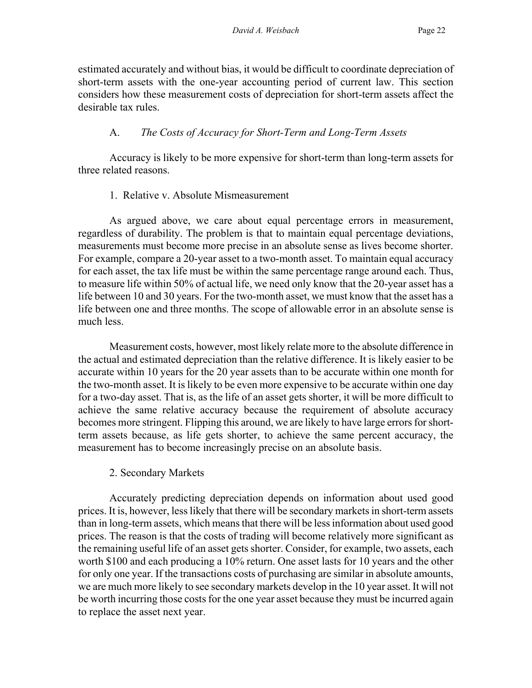estimated accurately and without bias, it would be difficult to coordinate depreciation of short-term assets with the one-year accounting period of current law. This section considers how these measurement costs of depreciation for short-term assets affect the desirable tax rules.

# A. *The Costs of Accuracy for Short-Term and Long-Term Assets*

Accuracy is likely to be more expensive for short-term than long-term assets for three related reasons.

## 1. Relative v. Absolute Mismeasurement

As argued above, we care about equal percentage errors in measurement, regardless of durability. The problem is that to maintain equal percentage deviations, measurements must become more precise in an absolute sense as lives become shorter. For example, compare a 20-year asset to a two-month asset. To maintain equal accuracy for each asset, the tax life must be within the same percentage range around each. Thus, to measure life within 50% of actual life, we need only know that the 20-year asset has a life between 10 and 30 years. For the two-month asset, we must know that the asset has a life between one and three months. The scope of allowable error in an absolute sense is much less.

Measurement costs, however, most likely relate more to the absolute difference in the actual and estimated depreciation than the relative difference. It is likely easier to be accurate within 10 years for the 20 year assets than to be accurate within one month for the two-month asset. It is likely to be even more expensive to be accurate within one day for a two-day asset. That is, as the life of an asset gets shorter, it will be more difficult to achieve the same relative accuracy because the requirement of absolute accuracy becomes more stringent. Flipping this around, we are likely to have large errors for shortterm assets because, as life gets shorter, to achieve the same percent accuracy, the measurement has to become increasingly precise on an absolute basis.

# 2. Secondary Markets

Accurately predicting depreciation depends on information about used good prices. It is, however, less likely that there will be secondary markets in short-term assets than in long-term assets, which means that there will be less information about used good prices. The reason is that the costs of trading will become relatively more significant as the remaining useful life of an asset gets shorter. Consider, for example, two assets, each worth \$100 and each producing a 10% return. One asset lasts for 10 years and the other for only one year. If the transactions costs of purchasing are similar in absolute amounts, we are much more likely to see secondary markets develop in the 10 year asset. It will not be worth incurring those costs for the one year asset because they must be incurred again to replace the asset next year.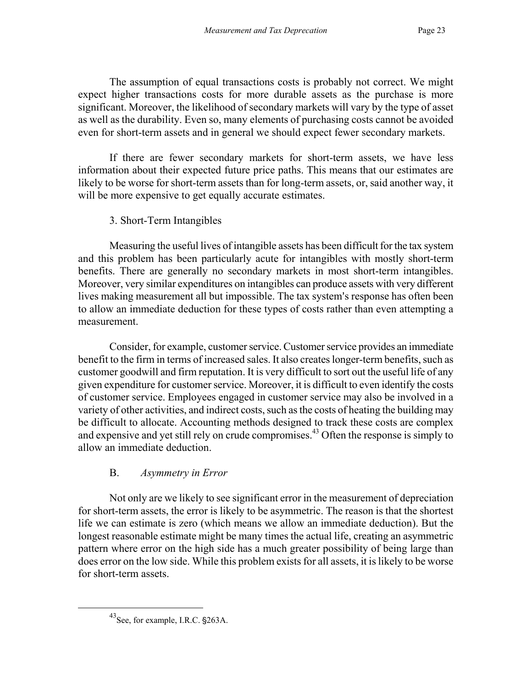The assumption of equal transactions costs is probably not correct. We might expect higher transactions costs for more durable assets as the purchase is more significant. Moreover, the likelihood of secondary markets will vary by the type of asset as well as the durability. Even so, many elements of purchasing costs cannot be avoided even for short-term assets and in general we should expect fewer secondary markets.

If there are fewer secondary markets for short-term assets, we have less information about their expected future price paths. This means that our estimates are likely to be worse for short-term assets than for long-term assets, or, said another way, it will be more expensive to get equally accurate estimates.

## 3. Short-Term Intangibles

Measuring the useful lives of intangible assets has been difficult for the tax system and this problem has been particularly acute for intangibles with mostly short-term benefits. There are generally no secondary markets in most short-term intangibles. Moreover, very similar expenditures on intangibles can produce assets with very different lives making measurement all but impossible. The tax system's response has often been to allow an immediate deduction for these types of costs rather than even attempting a measurement.

Consider, for example, customer service. Customer service provides an immediate benefit to the firm in terms of increased sales. It also creates longer-term benefits, such as customer goodwill and firm reputation. It is very difficult to sort out the useful life of any given expenditure for customer service. Moreover, it is difficult to even identify the costs of customer service. Employees engaged in customer service may also be involved in a variety of other activities, and indirect costs, such as the costs of heating the building may be difficult to allocate. Accounting methods designed to track these costs are complex and expensive and yet still rely on crude compromises.<sup>43</sup> Often the response is simply to allow an immediate deduction.

# B. *Asymmetry in Error*

Not only are we likely to see significant error in the measurement of depreciation for short-term assets, the error is likely to be asymmetric. The reason is that the shortest life we can estimate is zero (which means we allow an immediate deduction). But the longest reasonable estimate might be many times the actual life, creating an asymmetric pattern where error on the high side has a much greater possibility of being large than does error on the low side. While this problem exists for all assets, it is likely to be worse for short-term assets.

<span id="page-25-0"></span> $^{43}$ See, for example, I.R.C.  $\S$ 263A.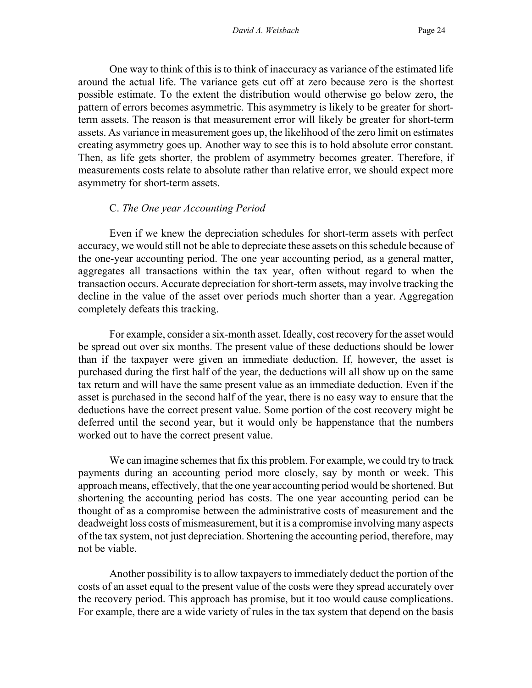One way to think of this is to think of inaccuracy as variance of the estimated life around the actual life. The variance gets cut off at zero because zero is the shortest possible estimate. To the extent the distribution would otherwise go below zero, the pattern of errors becomes asymmetric. This asymmetry is likely to be greater for shortterm assets. The reason is that measurement error will likely be greater for short-term assets. As variance in measurement goes up, the likelihood of the zero limit on estimates creating asymmetry goes up. Another way to see this is to hold absolute error constant. Then, as life gets shorter, the problem of asymmetry becomes greater. Therefore, if measurements costs relate to absolute rather than relative error, we should expect more asymmetry for short-term assets.

#### C. *The One year Accounting Period*

Even if we knew the depreciation schedules for short-term assets with perfect accuracy, we would still not be able to depreciate these assets on this schedule because of the one-year accounting period. The one year accounting period, as a general matter, aggregates all transactions within the tax year, often without regard to when the transaction occurs. Accurate depreciation for short-term assets, may involve tracking the decline in the value of the asset over periods much shorter than a year. Aggregation completely defeats this tracking.

For example, consider a six-month asset. Ideally, cost recovery for the asset would be spread out over six months. The present value of these deductions should be lower than if the taxpayer were given an immediate deduction. If, however, the asset is purchased during the first half of the year, the deductions will all show up on the same tax return and will have the same present value as an immediate deduction. Even if the asset is purchased in the second half of the year, there is no easy way to ensure that the deductions have the correct present value. Some portion of the cost recovery might be deferred until the second year, but it would only be happenstance that the numbers worked out to have the correct present value.

We can imagine schemes that fix this problem. For example, we could try to track payments during an accounting period more closely, say by month or week. This approach means, effectively, that the one year accounting period would be shortened. But shortening the accounting period has costs. The one year accounting period can be thought of as a compromise between the administrative costs of measurement and the deadweight loss costs of mismeasurement, but it is a compromise involving many aspects of the tax system, not just depreciation. Shortening the accounting period, therefore, may not be viable.

Another possibility is to allow taxpayers to immediately deduct the portion of the costs of an asset equal to the present value of the costs were they spread accurately over the recovery period. This approach has promise, but it too would cause complications. For example, there are a wide variety of rules in the tax system that depend on the basis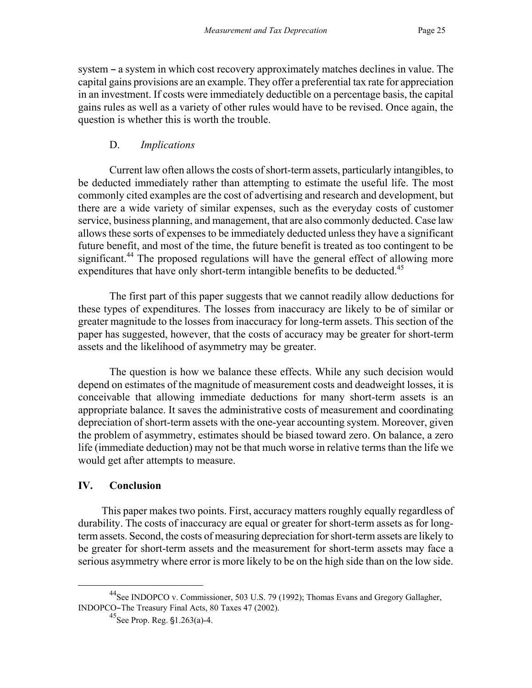system – a system in which cost recovery approximately matches declines in value. The capital gains provisions are an example. They offer a preferential tax rate for appreciation in an investment. If costs were immediately deductible on a percentage basis, the capital gains rules as well as a variety of other rules would have to be revised. Once again, the question is whether this is worth the trouble.

#### D. *Implications*

Current law often allows the costs of short-term assets, particularly intangibles, to be deducted immediately rather than attempting to estimate the useful life. The most commonly cited examples are the cost of advertising and research and development, but there are a wide variety of similar expenses, such as the everyday costs of customer service, business planning, and management, that are also commonly deducted. Case law allows these sorts of expenses to be immediately deducted unless they have a significant future benefit, and most of the time, the future benefit is treated as too contingent to be significant.<sup>44</sup> The proposed regulations will have the general effect of allowing more expenditures that have only short-term intangible benefits to be deducted.<sup>[45](#page-27-1)</sup>

The first part of this paper suggests that we cannot readily allow deductions for these types of expenditures. The losses from inaccuracy are likely to be of similar or greater magnitude to the losses from inaccuracy for long-term assets. This section of the paper has suggested, however, that the costs of accuracy may be greater for short-term assets and the likelihood of asymmetry may be greater.

The question is how we balance these effects. While any such decision would depend on estimates of the magnitude of measurement costs and deadweight losses, it is conceivable that allowing immediate deductions for many short-term assets is an appropriate balance. It saves the administrative costs of measurement and coordinating depreciation of short-term assets with the one-year accounting system. Moreover, given the problem of asymmetry, estimates should be biased toward zero. On balance, a zero life (immediate deduction) may not be that much worse in relative terms than the life we would get after attempts to measure.

#### **IV. Conclusion**

This paper makes two points. First, accuracy matters roughly equally regardless of durability. The costs of inaccuracy are equal or greater for short-term assets as for longterm assets. Second, the costs of measuring depreciation for short-term assets are likely to be greater for short-term assets and the measurement for short-term assets may face a serious asymmetry where error is more likely to be on the high side than on the low side.

 <sup>44</sup>See INDOPCO v. Commissioner, 503 U.S. 79 (1992); Thomas Evans and Gregory Gallagher, INDOPCO-The Treasury Final Acts, 80 Taxes 47 (2002).

<span id="page-27-1"></span><span id="page-27-0"></span> $^{45}$ See Prop. Reg.  $\S$ 1.263(a)-4.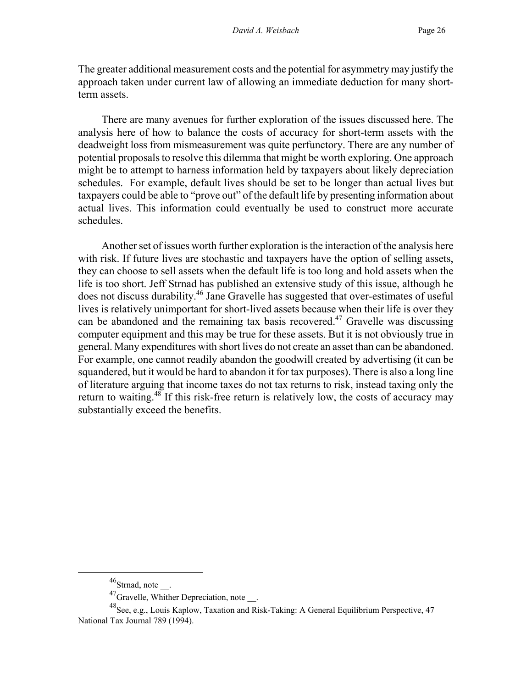The greater additional measurement costs and the potential for asymmetry may justify the approach taken under current law of allowing an immediate deduction for many shortterm assets.

There are many avenues for further exploration of the issues discussed here. The analysis here of how to balance the costs of accuracy for short-term assets with the deadweight loss from mismeasurement was quite perfunctory. There are any number of potential proposals to resolve this dilemma that might be worth exploring. One approach might be to attempt to harness information held by taxpayers about likely depreciation schedules. For example, default lives should be set to be longer than actual lives but taxpayers could be able to "prove out" of the default life by presenting information about actual lives. This information could eventually be used to construct more accurate schedules.

Another set of issues worth further exploration is the interaction of the analysis here with risk. If future lives are stochastic and taxpayers have the option of selling assets, they can choose to sell assets when the default life is too long and hold assets when the life is too short. Jeff Strnad has published an extensive study of this issue, although he does not discuss durability.<sup>46</sup> Jane Gravelle has suggested that over-estimates of useful lives is relatively unimportant for short-lived assets because when their life is over they can be abandoned and the remaining tax basis recovered.<sup>47</sup> Gravelle was discussing computer equipment and this may be true for these assets. But it is not obviously true in general. Many expenditures with short lives do not create an asset than can be abandoned. For example, one cannot readily abandon the goodwill created by advertising (it can be squandered, but it would be hard to abandon it for tax purposes). There is also a long line of literature arguing that income taxes do not tax returns to risk, instead taxing only the return to waiting.<sup>48</sup> If this risk-free return is relatively low, the costs of accuracy may substantially exceed the benefits.

<span id="page-28-0"></span> $46$ Strnad, note \_\_\_.

<span id="page-28-2"></span><span id="page-28-1"></span> $^{47}$ Gravelle, Whither Depreciation, note.

<sup>48</sup>See, e.g., Louis Kaplow, Taxation and Risk-Taking: A General Equilibrium Perspective, 47 National Tax Journal 789 (1994).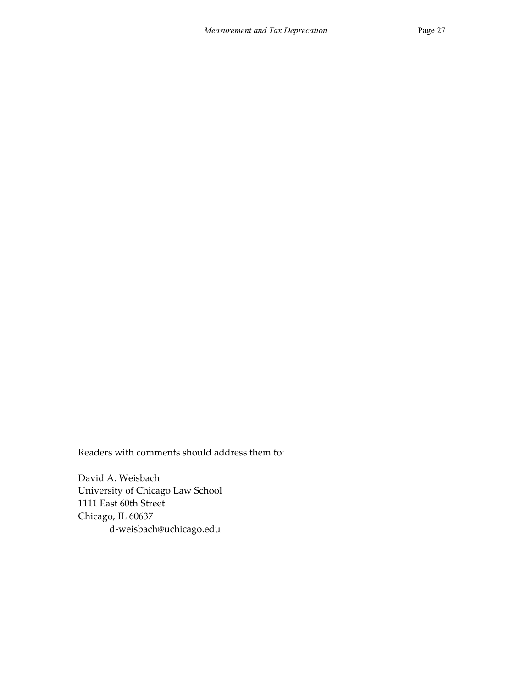Readers with comments should address them to:

David A. Weisbach University of Chicago Law School 1111 East 60th Street Chicago, IL 60637 d-weisbach@uchicago.edu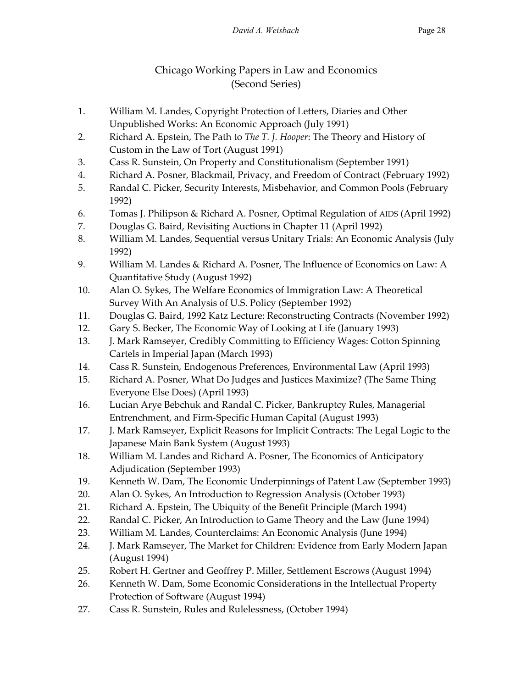# Chicago Working Papers in Law and Economics (Second Series)

- 1. William M. Landes, Copyright Protection of Letters, Diaries and Other Unpublished Works: An Economic Approach (July 1991)
- 2. Richard A. Epstein, The Path to *The T. J. Hooper*: The Theory and History of Custom in the Law of Tort (August 1991)
- 3. Cass R. Sunstein, On Property and Constitutionalism (September 1991)
- 4. Richard A. Posner, Blackmail, Privacy, and Freedom of Contract (February 1992)
- 5. Randal C. Picker, Security Interests, Misbehavior, and Common Pools (February 1992)
- 6. Tomas J. Philipson & Richard A. Posner, Optimal Regulation of AIDS (April 1992)
- 7. Douglas G. Baird, Revisiting Auctions in Chapter 11 (April 1992)
- 8. William M. Landes, Sequential versus Unitary Trials: An Economic Analysis (July 1992)
- 9. William M. Landes & Richard A. Posner, The Influence of Economics on Law: A Quantitative Study (August 1992)
- 10. Alan O. Sykes, The Welfare Economics of Immigration Law: A Theoretical Survey With An Analysis of U.S. Policy (September 1992)
- 11. Douglas G. Baird, 1992 Katz Lecture: Reconstructing Contracts (November 1992)
- 12. Gary S. Becker, The Economic Way of Looking at Life (January 1993)
- 13. J. Mark Ramseyer, Credibly Committing to Efficiency Wages: Cotton Spinning Cartels in Imperial Japan (March 1993)
- 14. Cass R. Sunstein, Endogenous Preferences, Environmental Law (April 1993)
- 15. Richard A. Posner, What Do Judges and Justices Maximize? (The Same Thing Everyone Else Does) (April 1993)
- 16. Lucian Arye Bebchuk and Randal C. Picker, Bankruptcy Rules, Managerial Entrenchment, and Firm-Specific Human Capital (August 1993)
- 17. J. Mark Ramseyer, Explicit Reasons for Implicit Contracts: The Legal Logic to the Japanese Main Bank System (August 1993)
- 18. William M. Landes and Richard A. Posner, The Economics of Anticipatory Adjudication (September 1993)
- 19. Kenneth W. Dam, The Economic Underpinnings of Patent Law (September 1993)
- 20. Alan O. Sykes, An Introduction to Regression Analysis (October 1993)
- 21. Richard A. Epstein, The Ubiquity of the Benefit Principle (March 1994)
- 22. Randal C. Picker, An Introduction to Game Theory and the Law (June 1994)
- 23. William M. Landes, Counterclaims: An Economic Analysis (June 1994)
- 24. J. Mark Ramseyer, The Market for Children: Evidence from Early Modern Japan (August 1994)
- 25. Robert H. Gertner and Geoffrey P. Miller, Settlement Escrows (August 1994)
- 26. Kenneth W. Dam, Some Economic Considerations in the Intellectual Property Protection of Software (August 1994)
- 27. Cass R. Sunstein, Rules and Rulelessness, (October 1994)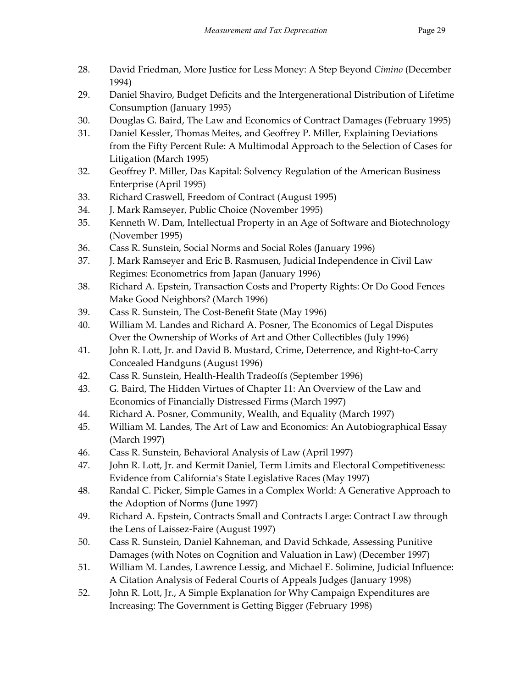- 28. David Friedman, More Justice for Less Money: A Step Beyond *Cimino* (December 1994)
- 29. Daniel Shaviro, Budget Deficits and the Intergenerational Distribution of Lifetime Consumption (January 1995)
- 30. Douglas G. Baird, The Law and Economics of Contract Damages (February 1995)
- 31. Daniel Kessler, Thomas Meites, and Geoffrey P. Miller, Explaining Deviations from the Fifty Percent Rule: A Multimodal Approach to the Selection of Cases for Litigation (March 1995)
- 32. Geoffrey P. Miller, Das Kapital: Solvency Regulation of the American Business Enterprise (April 1995)
- 33. Richard Craswell, Freedom of Contract (August 1995)
- 34. J. Mark Ramseyer, Public Choice (November 1995)
- 35. Kenneth W. Dam, Intellectual Property in an Age of Software and Biotechnology (November 1995)
- 36. Cass R. Sunstein, Social Norms and Social Roles (January 1996)
- 37. J. Mark Ramseyer and Eric B. Rasmusen, Judicial Independence in Civil Law Regimes: Econometrics from Japan (January 1996)
- 38. Richard A. Epstein, Transaction Costs and Property Rights: Or Do Good Fences Make Good Neighbors? (March 1996)
- 39. Cass R. Sunstein, The Cost-Benefit State (May 1996)
- 40. William M. Landes and Richard A. Posner, The Economics of Legal Disputes Over the Ownership of Works of Art and Other Collectibles (July 1996)
- 41. John R. Lott, Jr. and David B. Mustard, Crime, Deterrence, and Right-to-Carry Concealed Handguns (August 1996)
- 42. Cass R. Sunstein, Health-Health Tradeoffs (September 1996)
- 43. G. Baird, The Hidden Virtues of Chapter 11: An Overview of the Law and Economics of Financially Distressed Firms (March 1997)
- 44. Richard A. Posner, Community, Wealth, and Equality (March 1997)
- 45. William M. Landes, The Art of Law and Economics: An Autobiographical Essay (March 1997)
- 46. Cass R. Sunstein, Behavioral Analysis of Law (April 1997)
- 47. John R. Lott, Jr. and Kermit Daniel, Term Limits and Electoral Competitiveness: Evidence from California's State Legislative Races (May 1997)
- 48. Randal C. Picker, Simple Games in a Complex World: A Generative Approach to the Adoption of Norms (June 1997)
- 49. Richard A. Epstein, Contracts Small and Contracts Large: Contract Law through the Lens of Laissez-Faire (August 1997)
- 50. Cass R. Sunstein, Daniel Kahneman, and David Schkade, Assessing Punitive Damages (with Notes on Cognition and Valuation in Law) (December 1997)
- 51. William M. Landes, Lawrence Lessig, and Michael E. Solimine, Judicial Influence: A Citation Analysis of Federal Courts of Appeals Judges (January 1998)
- 52. John R. Lott, Jr., A Simple Explanation for Why Campaign Expenditures are Increasing: The Government is Getting Bigger (February 1998)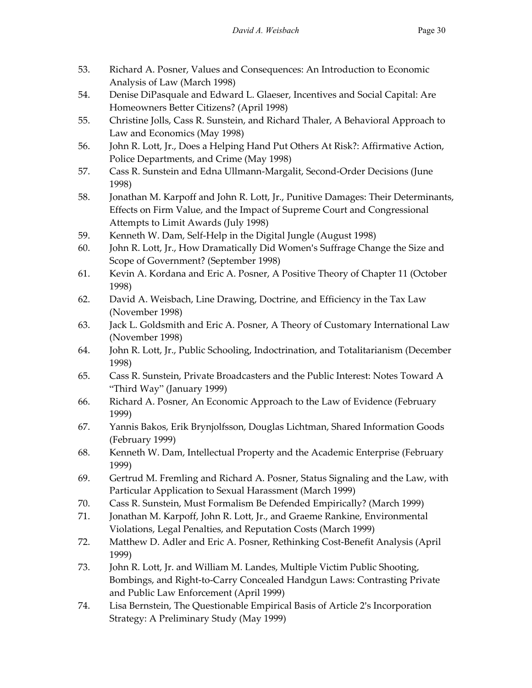- 53. Richard A. Posner, Values and Consequences: An Introduction to Economic Analysis of Law (March 1998)
- 54. Denise DiPasquale and Edward L. Glaeser, Incentives and Social Capital: Are Homeowners Better Citizens? (April 1998)
- 55. Christine Jolls, Cass R. Sunstein, and Richard Thaler, A Behavioral Approach to Law and Economics (May 1998)
- 56. John R. Lott, Jr., Does a Helping Hand Put Others At Risk?: Affirmative Action, Police Departments, and Crime (May 1998)
- 57. Cass R. Sunstein and Edna Ullmann-Margalit, Second-Order Decisions (June 1998)
- 58. Jonathan M. Karpoff and John R. Lott, Jr., Punitive Damages: Their Determinants, Effects on Firm Value, and the Impact of Supreme Court and Congressional Attempts to Limit Awards (July 1998)
- 59. Kenneth W. Dam, Self-Help in the Digital Jungle (August 1998)
- 60. John R. Lott, Jr., How Dramatically Did Women's Suffrage Change the Size and Scope of Government? (September 1998)
- 61. Kevin A. Kordana and Eric A. Posner, A Positive Theory of Chapter 11 (October 1998)
- 62. David A. Weisbach, Line Drawing, Doctrine, and Efficiency in the Tax Law (November 1998)
- 63. Jack L. Goldsmith and Eric A. Posner, A Theory of Customary International Law (November 1998)
- 64. John R. Lott, Jr., Public Schooling, Indoctrination, and Totalitarianism (December 1998)
- 65. Cass R. Sunstein, Private Broadcasters and the Public Interest: Notes Toward A "Third Way" (January 1999)
- 66. Richard A. Posner, An Economic Approach to the Law of Evidence (February 1999)
- 67. Yannis Bakos, Erik Brynjolfsson, Douglas Lichtman, Shared Information Goods (February 1999)
- 68. Kenneth W. Dam, Intellectual Property and the Academic Enterprise (February 1999)
- 69. Gertrud M. Fremling and Richard A. Posner, Status Signaling and the Law, with Particular Application to Sexual Harassment (March 1999)
- 70. Cass R. Sunstein, Must Formalism Be Defended Empirically? (March 1999)
- 71. Jonathan M. Karpoff, John R. Lott, Jr., and Graeme Rankine, Environmental Violations, Legal Penalties, and Reputation Costs (March 1999)
- 72. Matthew D. Adler and Eric A. Posner, Rethinking Cost-Benefit Analysis (April 1999)
- 73. John R. Lott, Jr. and William M. Landes, Multiple Victim Public Shooting, Bombings, and Right-to-Carry Concealed Handgun Laws: Contrasting Private and Public Law Enforcement (April 1999)
- 74. Lisa Bernstein, The Questionable Empirical Basis of Article 2's Incorporation Strategy: A Preliminary Study (May 1999)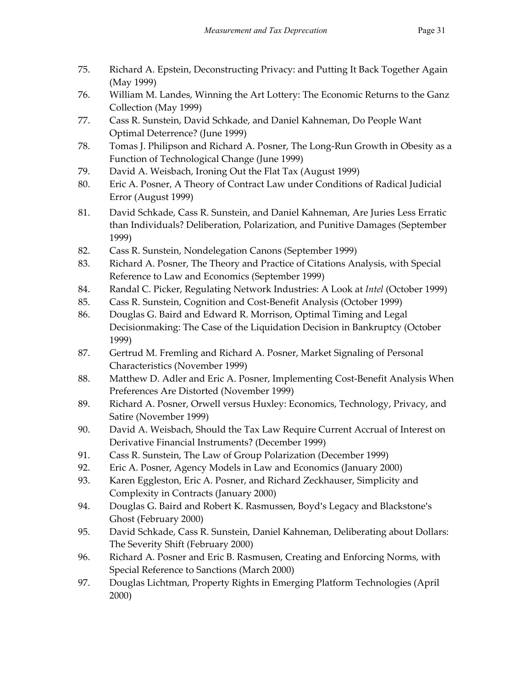- 75. Richard A. Epstein, Deconstructing Privacy: and Putting It Back Together Again (May 1999)
- 76. William M. Landes, Winning the Art Lottery: The Economic Returns to the Ganz Collection (May 1999)
- 77. Cass R. Sunstein, David Schkade, and Daniel Kahneman, Do People Want Optimal Deterrence? (June 1999)
- 78. Tomas J. Philipson and Richard A. Posner, The Long-Run Growth in Obesity as a Function of Technological Change (June 1999)
- 79. David A. Weisbach, Ironing Out the Flat Tax (August 1999)
- 80. Eric A. Posner, A Theory of Contract Law under Conditions of Radical Judicial Error (August 1999)
- 81. David Schkade, Cass R. Sunstein, and Daniel Kahneman, Are Juries Less Erratic than Individuals? Deliberation, Polarization, and Punitive Damages (September 1999)
- 82. Cass R. Sunstein, Nondelegation Canons (September 1999)
- 83. Richard A. Posner, The Theory and Practice of Citations Analysis, with Special Reference to Law and Economics (September 1999)
- 84. Randal C. Picker, Regulating Network Industries: A Look at *Intel* (October 1999)
- 85. Cass R. Sunstein, Cognition and Cost-Benefit Analysis (October 1999)
- 86. Douglas G. Baird and Edward R. Morrison, Optimal Timing and Legal Decisionmaking: The Case of the Liquidation Decision in Bankruptcy (October 1999)
- 87. Gertrud M. Fremling and Richard A. Posner, Market Signaling of Personal Characteristics (November 1999)
- 88. Matthew D. Adler and Eric A. Posner, Implementing Cost-Benefit Analysis When Preferences Are Distorted (November 1999)
- 89. Richard A. Posner, Orwell versus Huxley: Economics, Technology, Privacy, and Satire (November 1999)
- 90. David A. Weisbach, Should the Tax Law Require Current Accrual of Interest on Derivative Financial Instruments? (December 1999)
- 91. Cass R. Sunstein, The Law of Group Polarization (December 1999)
- 92. Eric A. Posner, Agency Models in Law and Economics (January 2000)
- 93. Karen Eggleston, Eric A. Posner, and Richard Zeckhauser, Simplicity and Complexity in Contracts (January 2000)
- 94. Douglas G. Baird and Robert K. Rasmussen, Boyd's Legacy and Blackstone's Ghost (February 2000)
- 95. David Schkade, Cass R. Sunstein, Daniel Kahneman, Deliberating about Dollars: The Severity Shift (February 2000)
- 96. Richard A. Posner and Eric B. Rasmusen, Creating and Enforcing Norms, with Special Reference to Sanctions (March 2000)
- 97. Douglas Lichtman, Property Rights in Emerging Platform Technologies (April 2000)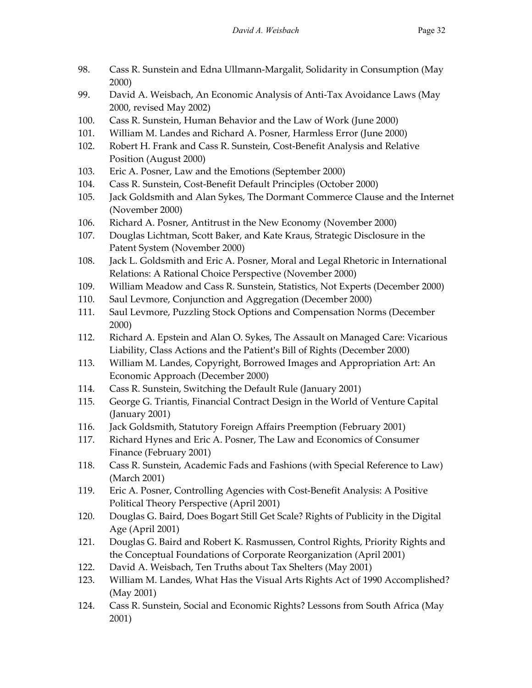- 98. Cass R. Sunstein and Edna Ullmann-Margalit, Solidarity in Consumption (May 2000)
- 99. David A. Weisbach, An Economic Analysis of Anti-Tax Avoidance Laws (May 2000, revised May 2002)
- 100. Cass R. Sunstein, Human Behavior and the Law of Work (June 2000)
- 101. William M. Landes and Richard A. Posner, Harmless Error (June 2000)
- 102. Robert H. Frank and Cass R. Sunstein, Cost-Benefit Analysis and Relative Position (August 2000)
- 103. Eric A. Posner, Law and the Emotions (September 2000)
- 104. Cass R. Sunstein, Cost-Benefit Default Principles (October 2000)
- 105. Jack Goldsmith and Alan Sykes, The Dormant Commerce Clause and the Internet (November 2000)
- 106. Richard A. Posner, Antitrust in the New Economy (November 2000)
- 107. Douglas Lichtman, Scott Baker, and Kate Kraus, Strategic Disclosure in the Patent System (November 2000)
- 108. Jack L. Goldsmith and Eric A. Posner, Moral and Legal Rhetoric in International Relations: A Rational Choice Perspective (November 2000)
- 109. William Meadow and Cass R. Sunstein, Statistics, Not Experts (December 2000)
- 110. Saul Levmore, Conjunction and Aggregation (December 2000)
- 111. Saul Levmore, Puzzling Stock Options and Compensation Norms (December 2000)
- 112. Richard A. Epstein and Alan O. Sykes, The Assault on Managed Care: Vicarious Liability, Class Actions and the Patient's Bill of Rights (December 2000)
- 113. William M. Landes, Copyright, Borrowed Images and Appropriation Art: An Economic Approach (December 2000)
- 114. Cass R. Sunstein, Switching the Default Rule (January 2001)
- 115. George G. Triantis, Financial Contract Design in the World of Venture Capital (January 2001)
- 116. Jack Goldsmith, Statutory Foreign Affairs Preemption (February 2001)
- 117. Richard Hynes and Eric A. Posner, The Law and Economics of Consumer Finance (February 2001)
- 118. Cass R. Sunstein, Academic Fads and Fashions (with Special Reference to Law) (March 2001)
- 119. Eric A. Posner, Controlling Agencies with Cost-Benefit Analysis: A Positive Political Theory Perspective (April 2001)
- 120. Douglas G. Baird, Does Bogart Still Get Scale? Rights of Publicity in the Digital Age (April 2001)
- 121. Douglas G. Baird and Robert K. Rasmussen, Control Rights, Priority Rights and the Conceptual Foundations of Corporate Reorganization (April 2001)
- 122. David A. Weisbach, Ten Truths about Tax Shelters (May 2001)
- 123. William M. Landes, What Has the Visual Arts Rights Act of 1990 Accomplished? (May 2001)
- 124. Cass R. Sunstein, Social and Economic Rights? Lessons from South Africa (May 2001)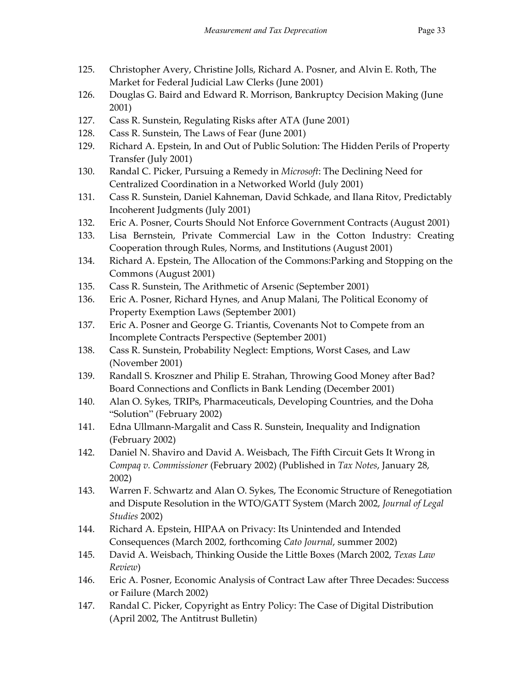- 125. Christopher Avery, Christine Jolls, Richard A. Posner, and Alvin E. Roth, The Market for Federal Judicial Law Clerks (June 2001)
- 126. Douglas G. Baird and Edward R. Morrison, Bankruptcy Decision Making (June 2001)
- 127. Cass R. Sunstein, Regulating Risks after ATA (June 2001)
- 128. Cass R. Sunstein, The Laws of Fear (June 2001)
- 129. Richard A. Epstein, In and Out of Public Solution: The Hidden Perils of Property Transfer (July 2001)
- 130. Randal C. Picker, Pursuing a Remedy in *Microsoft*: The Declining Need for Centralized Coordination in a Networked World (July 2001)
- 131. Cass R. Sunstein, Daniel Kahneman, David Schkade, and Ilana Ritov, Predictably Incoherent Judgments (July 2001)
- 132. Eric A. Posner, Courts Should Not Enforce Government Contracts (August 2001)
- 133. Lisa Bernstein, Private Commercial Law in the Cotton Industry: Creating Cooperation through Rules, Norms, and Institutions (August 2001)
- 134. Richard A. Epstein, The Allocation of the Commons:Parking and Stopping on the Commons (August 2001)
- 135. Cass R. Sunstein, The Arithmetic of Arsenic (September 2001)
- 136. Eric A. Posner, Richard Hynes, and Anup Malani, The Political Economy of Property Exemption Laws (September 2001)
- 137. Eric A. Posner and George G. Triantis, Covenants Not to Compete from an Incomplete Contracts Perspective (September 2001)
- 138. Cass R. Sunstein, Probability Neglect: Emptions, Worst Cases, and Law (November 2001)
- 139. Randall S. Kroszner and Philip E. Strahan, Throwing Good Money after Bad? Board Connections and Conflicts in Bank Lending (December 2001)
- 140. Alan O. Sykes, TRIPs, Pharmaceuticals, Developing Countries, and the Doha "Solution" (February 2002)
- 141. Edna Ullmann-Margalit and Cass R. Sunstein, Inequality and Indignation (February 2002)
- 142. Daniel N. Shaviro and David A. Weisbach, The Fifth Circuit Gets It Wrong in *Compaq v. Commissioner* (February 2002) (Published in *Tax Notes*, January 28, 2002)
- 143. Warren F. Schwartz and Alan O. Sykes, The Economic Structure of Renegotiation and Dispute Resolution in the WTO/GATT System (March 2002, *Journal of Legal Studies* 2002)
- 144. Richard A. Epstein, HIPAA on Privacy: Its Unintended and Intended Consequences (March 2002, forthcoming *Cato Journal*, summer 2002)
- 145. David A. Weisbach, Thinking Ouside the Little Boxes (March 2002, *Texas Law Review*)
- 146. Eric A. Posner, Economic Analysis of Contract Law after Three Decades: Success or Failure (March 2002)
- 147. Randal C. Picker, Copyright as Entry Policy: The Case of Digital Distribution (April 2002, The Antitrust Bulletin)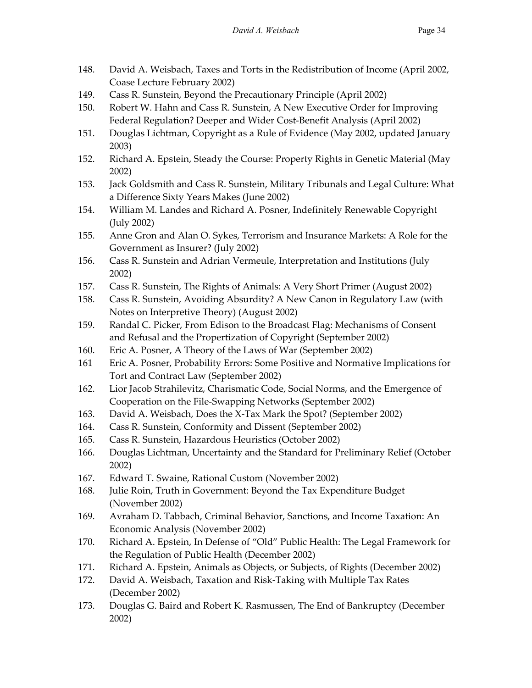- 148. David A. Weisbach, Taxes and Torts in the Redistribution of Income (April 2002, Coase Lecture February 2002)
- 149. Cass R. Sunstein, Beyond the Precautionary Principle (April 2002)
- 150. Robert W. Hahn and Cass R. Sunstein, A New Executive Order for Improving Federal Regulation? Deeper and Wider Cost-Benefit Analysis (April 2002)
- 151. Douglas Lichtman, Copyright as a Rule of Evidence (May 2002, updated January 2003)
- 152. Richard A. Epstein, Steady the Course: Property Rights in Genetic Material (May 2002)
- 153. Jack Goldsmith and Cass R. Sunstein, Military Tribunals and Legal Culture: What a Difference Sixty Years Makes (June 2002)
- 154. William M. Landes and Richard A. Posner, Indefinitely Renewable Copyright (July 2002)
- 155. Anne Gron and Alan O. Sykes, Terrorism and Insurance Markets: A Role for the Government as Insurer? (July 2002)
- 156. Cass R. Sunstein and Adrian Vermeule, Interpretation and Institutions (July 2002)
- 157. Cass R. Sunstein, The Rights of Animals: A Very Short Primer (August 2002)
- 158. Cass R. Sunstein, Avoiding Absurdity? A New Canon in Regulatory Law (with Notes on Interpretive Theory) (August 2002)
- 159. Randal C. Picker, From Edison to the Broadcast Flag: Mechanisms of Consent and Refusal and the Propertization of Copyright (September 2002)
- 160. Eric A. Posner, A Theory of the Laws of War (September 2002)
- 161 Eric A. Posner, Probability Errors: Some Positive and Normative Implications for Tort and Contract Law (September 2002)
- 162. Lior Jacob Strahilevitz, Charismatic Code, Social Norms, and the Emergence of Cooperation on the File-Swapping Networks (September 2002)
- 163. David A. Weisbach, Does the X-Tax Mark the Spot? (September 2002)
- 164. Cass R. Sunstein, Conformity and Dissent (September 2002)
- 165. Cass R. Sunstein, Hazardous Heuristics (October 2002)
- 166. Douglas Lichtman, Uncertainty and the Standard for Preliminary Relief (October 2002)
- 167. Edward T. Swaine, Rational Custom (November 2002)
- 168. Julie Roin, Truth in Government: Beyond the Tax Expenditure Budget (November 2002)
- 169. Avraham D. Tabbach, Criminal Behavior, Sanctions, and Income Taxation: An Economic Analysis (November 2002)
- 170. Richard A. Epstein, In Defense of "Old" Public Health: The Legal Framework for the Regulation of Public Health (December 2002)
- 171. Richard A. Epstein, Animals as Objects, or Subjects, of Rights (December 2002)
- 172. David A. Weisbach, Taxation and Risk-Taking with Multiple Tax Rates (December 2002)
- 173. Douglas G. Baird and Robert K. Rasmussen, The End of Bankruptcy (December 2002)